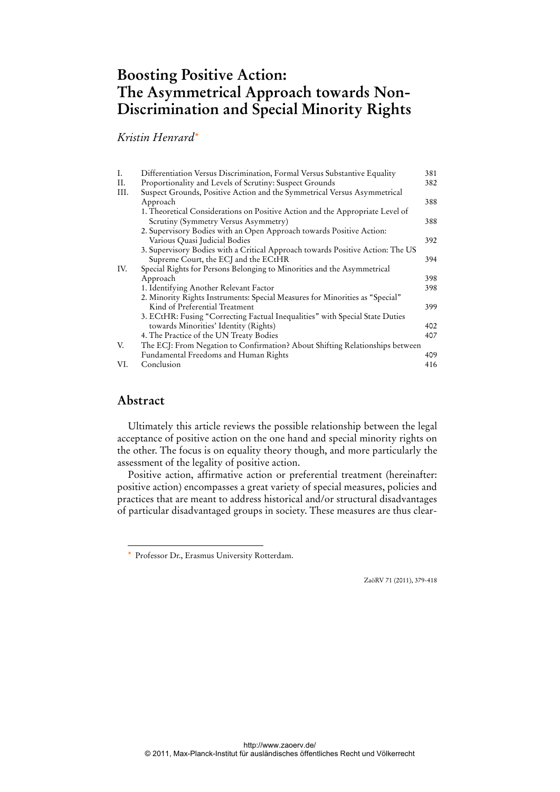# **Boosting Positive Action: The Asymmetrical Approach towards Non-Discrimination and Special Minority Rights**

*Kristin Henrard\**

| Ι.  | Differentiation Versus Discrimination, Formal Versus Substantive Equality      | 381 |
|-----|--------------------------------------------------------------------------------|-----|
| Н.  | Proportionality and Levels of Scrutiny: Suspect Grounds                        | 382 |
| Ш.  | Suspect Grounds, Positive Action and the Symmetrical Versus Asymmetrical       |     |
|     | Approach                                                                       | 388 |
|     | 1. Theoretical Considerations on Positive Action and the Appropriate Level of  |     |
|     | Scrutiny (Symmetry Versus Asymmetry)                                           | 388 |
|     | 2. Supervisory Bodies with an Open Approach towards Positive Action:           |     |
|     | Various Quasi Judicial Bodies                                                  | 392 |
|     | 3. Supervisory Bodies with a Critical Approach towards Positive Action: The US |     |
|     | Supreme Court, the ECJ and the ECtHR                                           | 394 |
| IV. | Special Rights for Persons Belonging to Minorities and the Asymmetrical        |     |
|     | Approach                                                                       | 398 |
|     | 1. Identifying Another Relevant Factor                                         | 398 |
|     | 2. Minority Rights Instruments: Special Measures for Minorities as "Special"   |     |
|     | Kind of Preferential Treatment                                                 | 399 |
|     | 3. ECtHR: Fusing "Correcting Factual Inequalities" with Special State Duties   |     |
|     | towards Minorities' Identity (Rights)                                          | 402 |
|     | 4. The Practice of the UN Treaty Bodies                                        | 407 |
| V.  | The ECJ: From Negation to Confirmation? About Shifting Relationships between   |     |
|     | Fundamental Freedoms and Human Rights                                          | 409 |
| VI. | Conclusion                                                                     | 416 |
|     |                                                                                |     |

## **Abstract**

 $\overline{a}$ 

Ultimately this article reviews the possible relationship between the legal acceptance of positive action on the one hand and special minority rights on the other. The focus is on equality theory though, and more particularly the assessment of the legality of positive action.

Positive action, affirmative action or preferential treatment (hereinafter: positive action) encompasses a great variety of special measures, policies and practices that are meant to address historical and/or structural disadvantages of particular disadvantaged groups in society. These measures are thus clear-

ZaöRV 71 (2011), 379-418

<sup>\*</sup> Professor Dr., Erasmus University Rotterdam.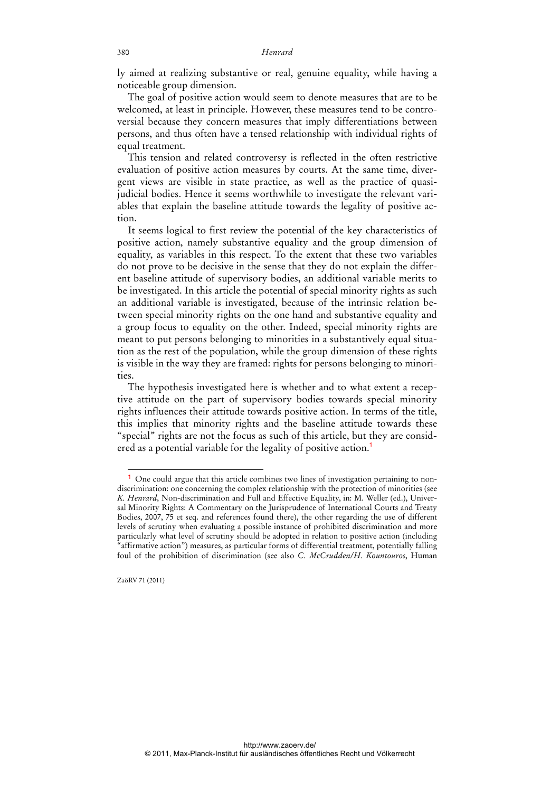ly aimed at realizing substantive or real, genuine equality, while having a noticeable group dimension.

The goal of positive action would seem to denote measures that are to be welcomed, at least in principle. However, these measures tend to be controversial because they concern measures that imply differentiations between persons, and thus often have a tensed relationship with individual rights of equal treatment.

This tension and related controversy is reflected in the often restrictive evaluation of positive action measures by courts. At the same time, divergent views are visible in state practice, as well as the practice of quasijudicial bodies. Hence it seems worthwhile to investigate the relevant variables that explain the baseline attitude towards the legality of positive action.

It seems logical to first review the potential of the key characteristics of positive action, namely substantive equality and the group dimension of equality, as variables in this respect. To the extent that these two variables do not prove to be decisive in the sense that they do not explain the different baseline attitude of supervisory bodies, an additional variable merits to be investigated. In this article the potential of special minority rights as such an additional variable is investigated, because of the intrinsic relation between special minority rights on the one hand and substantive equality and a group focus to equality on the other. Indeed, special minority rights are meant to put persons belonging to minorities in a substantively equal situation as the rest of the population, while the group dimension of these rights is visible in the way they are framed: rights for persons belonging to minorities.

The hypothesis investigated here is whether and to what extent a receptive attitude on the part of supervisory bodies towards special minority rights influences their attitude towards positive action. In terms of the title, this implies that minority rights and the baseline attitude towards these "special" rights are not the focus as such of this article, but they are considered as a potential variable for the legality of positive action.<sup>1</sup>

<sup>1</sup> One could argue that this article combines two lines of investigation pertaining to nondiscrimination: one concerning the complex relationship with the protection of minorities (see *K. Henrard*, Non-discrimination and Full and Effective Equality, in: M. Weller (ed.), Universal Minority Rights: A Commentary on the Jurisprudence of International Courts and Treaty Bodies, 2007, 75 et seq. and references found there), the other regarding the use of different levels of scrutiny when evaluating a possible instance of prohibited discrimination and more particularly what level of scrutiny should be adopted in relation to positive action (including "affirmative action") measures, as particular forms of differential treatment, potentially falling foul of the prohibition of discrimination (see also *C. McCrudden/H. Kountouros*, Human

ZaöRV 71 (2011)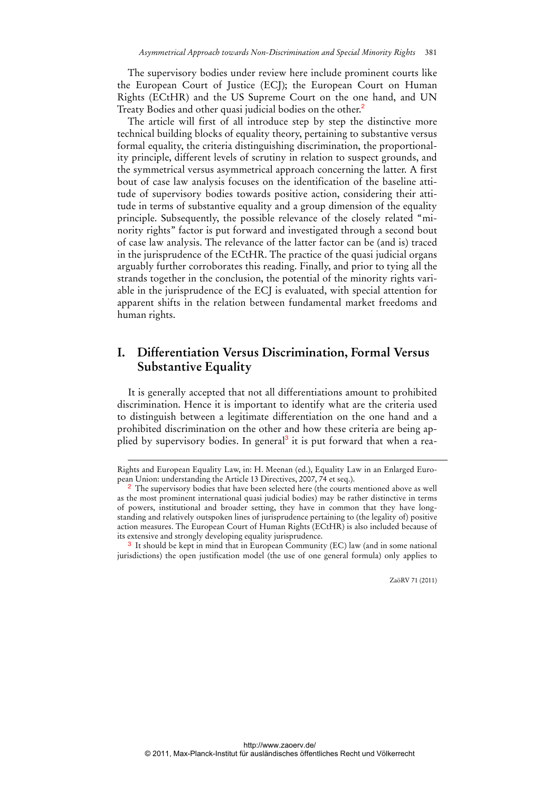The supervisory bodies under review here include prominent courts like the European Court of Justice (ECJ); the European Court on Human Rights (ECtHR) and the US Supreme Court on the one hand, and UN Treaty Bodies and other quasi judicial bodies on the other.<sup>2</sup>

The article will first of all introduce step by step the distinctive more technical building blocks of equality theory, pertaining to substantive versus formal equality, the criteria distinguishing discrimination, the proportionality principle, different levels of scrutiny in relation to suspect grounds, and the symmetrical versus asymmetrical approach concerning the latter. A first bout of case law analysis focuses on the identification of the baseline attitude of supervisory bodies towards positive action, considering their attitude in terms of substantive equality and a group dimension of the equality principle. Subsequently, the possible relevance of the closely related "minority rights" factor is put forward and investigated through a second bout of case law analysis. The relevance of the latter factor can be (and is) traced in the jurisprudence of the ECtHR. The practice of the quasi judicial organs arguably further corroborates this reading. Finally, and prior to tying all the strands together in the conclusion, the potential of the minority rights variable in the jurisprudence of the ECJ is evaluated, with special attention for apparent shifts in the relation between fundamental market freedoms and human rights.

## **I. Differentiation Versus Discrimination, Formal Versus Substantive Equality**

It is generally accepted that not all differentiations amount to prohibited discrimination. Hence it is important to identify what are the criteria used to distinguish between a legitimate differentiation on the one hand and a prohibited discrimination on the other and how these criteria are being applied by supervisory bodies. In general<sup>3</sup> it is put forward that when a rea-

-

<sup>3</sup> It should be kept in mind that in European Community (EC) law (and in some national jurisdictions) the open justification model (the use of one general formula) only applies to

Rights and European Equality Law, in: H. Meenan (ed.), Equality Law in an Enlarged European Union: understanding the Article 13 Directives, 2007, 74 et seq.).

<sup>&</sup>lt;sup>2</sup> The supervisory bodies that have been selected here (the courts mentioned above as well as the most prominent international quasi judicial bodies) may be rather distinctive in terms of powers, institutional and broader setting, they have in common that they have longstanding and relatively outspoken lines of jurisprudence pertaining to (the legality of) positive action measures. The European Court of Human Rights (ECtHR) is also included because of its extensive and strongly developing equality jurisprudence.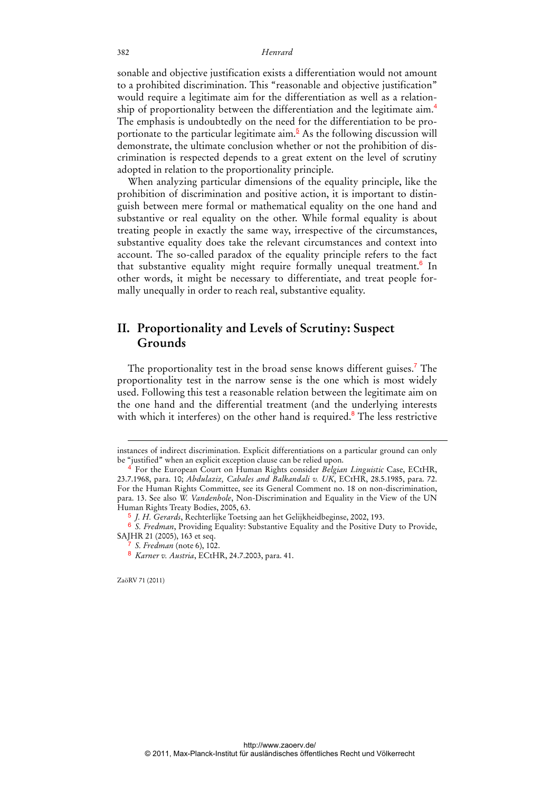sonable and objective justification exists a differentiation would not amount to a prohibited discrimination. This "reasonable and objective justification" would require a legitimate aim for the differentiation as well as a relationship of proportionality between the differentiation and the legitimate aim.<sup>4</sup> The emphasis is undoubtedly on the need for the differentiation to be proportionate to the particular legitimate aim.<sup>5</sup> As the following discussion will demonstrate, the ultimate conclusion whether or not the prohibition of discrimination is respected depends to a great extent on the level of scrutiny adopted in relation to the proportionality principle.

When analyzing particular dimensions of the equality principle, like the prohibition of discrimination and positive action, it is important to distinguish between mere formal or mathematical equality on the one hand and substantive or real equality on the other. While formal equality is about treating people in exactly the same way, irrespective of the circumstances, substantive equality does take the relevant circumstances and context into account. The so-called paradox of the equality principle refers to the fact that substantive equality might require formally unequal treatment.<sup>6</sup> In other words, it might be necessary to differentiate, and treat people formally unequally in order to reach real, substantive equality.

## **II. Proportionality and Levels of Scrutiny: Suspect Grounds**

The proportionality test in the broad sense knows different guises.<sup>7</sup> The proportionality test in the narrow sense is the one which is most widely used. Following this test a reasonable relation between the legitimate aim on the one hand and the differential treatment (and the underlying interests with which it interferes) on the other hand is required.<sup>8</sup> The less restrictive

ZaöRV 71 (2011)

-

instances of indirect discrimination. Explicit differentiations on a particular ground can only be "justified" when an explicit exception clause can be relied upon.

<sup>4</sup> For the European Court on Human Rights consider *Belgian Linguistic* Case, ECtHR, 23.7.1968, para. 10; *Abdulaziz, Cabales and Balkandali v. UK*, ECtHR, 28.5.1985, para. 72. For the Human Rights Committee, see its General Comment no. 18 on non-discrimination, para. 13. See also *W. Vandenhole*, Non-Discrimination and Equality in the View of the UN Human Rights Treaty Bodies, 2005, 63.

<sup>5</sup> *J. H. Gerards*, Rechterlijke Toetsing aan het Gelijkheidbeginse, 2002, 193.

<sup>6</sup> *S. Fredman*, Providing Equality: Substantive Equality and the Positive Duty to Provide, SAJHR 21 (2005), 163 et seq.

<sup>7</sup> *S. Fredman* (note 6), 102.

<sup>8</sup> *Karner v. Austria*, ECtHR, 24.7.2003, para. 41.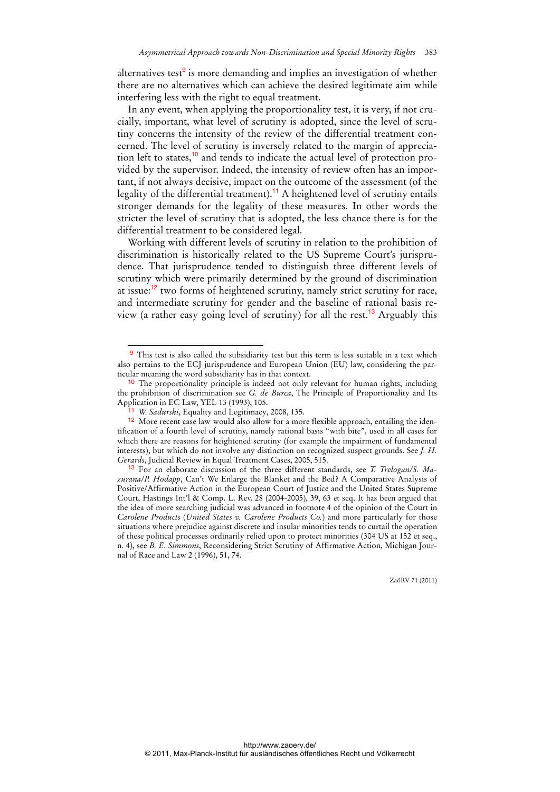alternatives test<sup>9</sup> is more demanding and implies an investigation of whether there are no alternatives which can achieve the desired legitimate aim while interfering less with the right to equal treatment.

In any event, when applying the proportionality test, it is very, if not crucially, important, what level of scrutiny is adopted, since the level of scrutiny concerns the intensity of the review of the differential treatment concerned. The level of scrutiny is inversely related to the margin of appreciation left to states,<sup>10</sup> and tends to indicate the actual level of protection provided by the supervisor. Indeed, the intensity of review often has an important, if not always decisive, impact on the outcome of the assessment (of the legality of the differential treatment).<sup>11</sup> A heightened level of scrutiny entails stronger demands for the legality of these measures. In other words the stricter the level of scrutiny that is adopted, the less chance there is for the differential treatment to be considered legal.

Working with different levels of scrutiny in relation to the prohibition of discrimination is historically related to the US Supreme Court's jurisprudence. That jurisprudence tended to distinguish three different levels of scrutiny which were primarily determined by the ground of discrimination at issue:<sup>12</sup> two forms of heightened scrutiny, namely strict scrutiny for race, and intermediate scrutiny for gender and the baseline of rational basis review (a rather easy going level of scrutiny) for all the rest.<sup>13</sup> Arguably this

 $\overline{a}$ 

<sup>&</sup>lt;sup>9</sup> This test is also called the subsidiarity test but this term is less suitable in a text which also pertains to the ECJ jurisprudence and European Union (EU) law, considering the particular meaning the word subsidiarity has in that context.

<sup>&</sup>lt;sup>10</sup> The proportionality principle is indeed not only relevant for human rights, including the prohibition of discrimination see *G. de Burca*, The Principle of Proportionality and Its Application in EC Law, YEL 13 (1993), 105.

*W. Sadurski*, Equality and Legitimacy, 2008, 135.

<sup>12</sup> More recent case law would also allow for a more flexible approach, entailing the identification of a fourth level of scrutiny, namely rational basis "with bite", used in all cases for which there are reasons for heightened scrutiny (for example the impairment of fundamental interests), but which do not involve any distinction on recognized suspect grounds. See *J. H. Gerards*, Judicial Review in Equal Treatment Cases, 2005, 515.

<sup>13</sup> For an elaborate discussion of the three different standards, see *T. Trelogan/S. Mazurana/P. Hodapp*, Can't We Enlarge the Blanket and the Bed? A Comparative Analysis of Positive/Affirmative Action in the European Court of Justice and the United States Supreme Court, Hastings Int'l & Comp. L. Rev. 28 (2004-2005), 39, 63 et seq. It has been argued that the idea of more searching judicial was advanced in footnote 4 of the opinion of the Court in *Carolene Products* (*United States v. Carolene Products Co.*) and more particularly for those situations where prejudice against discrete and insular minorities tends to curtail the operation of these political processes ordinarily relied upon to protect minorities (304 US at 152 et seq., n. 4), see *B. E. Simmons*, Reconsidering Strict Scrutiny of Affirmative Action, Michigan Journal of Race and Law 2 (1996), 51, 74.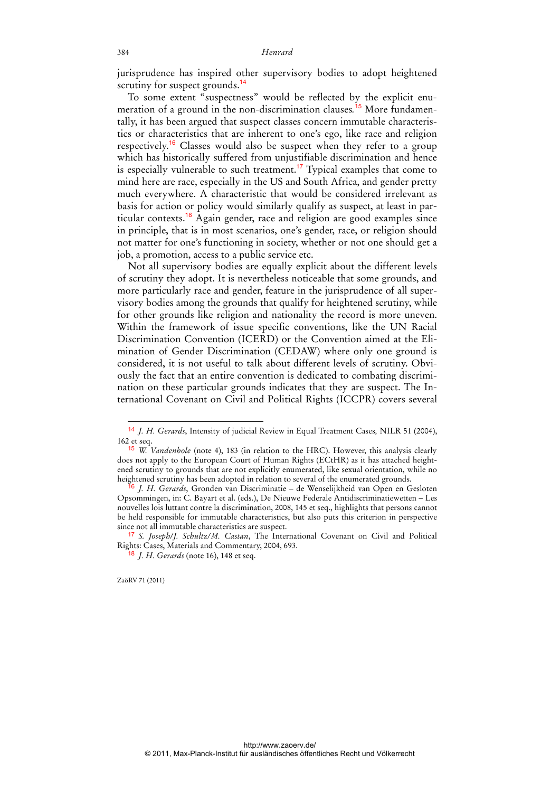jurisprudence has inspired other supervisory bodies to adopt heightened scrutiny for suspect grounds.<sup>14</sup>

To some extent "suspectness" would be reflected by the explicit enumeration of a ground in the non-discrimination clauses*.* <sup>15</sup> More fundamentally, it has been argued that suspect classes concern immutable characteristics or characteristics that are inherent to one's ego, like race and religion respectively.<sup>16</sup> Classes would also be suspect when they refer to a group which has historically suffered from unjustifiable discrimination and hence is especially vulnerable to such treatment.<sup>17</sup> Typical examples that come to mind here are race, especially in the US and South Africa, and gender pretty much everywhere. A characteristic that would be considered irrelevant as basis for action or policy would similarly qualify as suspect, at least in particular contexts.<sup>18</sup> Again gender, race and religion are good examples since in principle, that is in most scenarios, one's gender, race, or religion should not matter for one's functioning in society, whether or not one should get a job, a promotion, access to a public service etc.

Not all supervisory bodies are equally explicit about the different levels of scrutiny they adopt. It is nevertheless noticeable that some grounds, and more particularly race and gender, feature in the jurisprudence of all supervisory bodies among the grounds that qualify for heightened scrutiny, while for other grounds like religion and nationality the record is more uneven. Within the framework of issue specific conventions, like the UN Racial Discrimination Convention (ICERD) or the Convention aimed at the Elimination of Gender Discrimination (CEDAW) where only one ground is considered, it is not useful to talk about different levels of scrutiny. Obviously the fact that an entire convention is dedicated to combating discrimination on these particular grounds indicates that they are suspect. The International Covenant on Civil and Political Rights (ICCPR) covers several

ZaöRV 71 (2011)

<sup>14</sup> *J. H. Gerards*, Intensity of judicial Review in Equal Treatment Cases*,* NILR 51 (2004), 162 et seq.

<sup>15</sup> *W. Vandenhole* (note 4), 183 (in relation to the HRC). However, this analysis clearly does not apply to the European Court of Human Rights (ECtHR) as it has attached heightened scrutiny to grounds that are not explicitly enumerated, like sexual orientation, while no heightened scrutiny has been adopted in relation to several of the enumerated grounds.

<sup>16</sup> *J. H. Gerards*, Gronden van Discriminatie – de Wenselijkheid van Open en Gesloten Opsommingen, in: C. Bayart et al. (eds.), De Nieuwe Federale Antidiscriminatiewetten *–* Les nouvelles lois luttant contre la discrimination, 2008, 145 et seq., highlights that persons cannot be held responsible for immutable characteristics, but also puts this criterion in perspective since not all immutable characteristics are suspect.

<sup>17</sup> *S. Joseph/J. Schultz/M. Castan*, The International Covenant on Civil and Political Rights: Cases, Materials and Commentary, 2004, 693.

<sup>18</sup> *J. H. Gerards* (note 16), 148 et seq.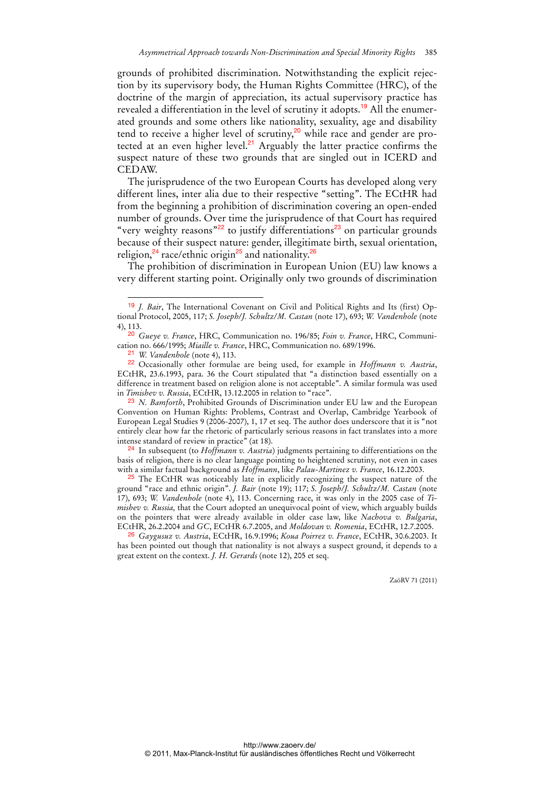grounds of prohibited discrimination. Notwithstanding the explicit rejection by its supervisory body, the Human Rights Committee (HRC), of the doctrine of the margin of appreciation, its actual supervisory practice has revealed a differentiation in the level of scrutiny it adopts.<sup>19</sup> All the enumerated grounds and some others like nationality, sexuality, age and disability tend to receive a higher level of scrutiny,<sup>20</sup> while race and gender are protected at an even higher level.<sup>21</sup> Arguably the latter practice confirms the suspect nature of these two grounds that are singled out in ICERD and CEDAW.

The jurisprudence of the two European Courts has developed along very different lines, inter alia due to their respective "setting". The ECtHR had from the beginning a prohibition of discrimination covering an open-ended number of grounds. Over time the jurisprudence of that Court has required "very weighty reasons"<sup>22</sup> to justify differentiations<sup>23</sup> on particular grounds because of their suspect nature: gender, illegitimate birth, sexual orientation, religion, $^{24}$  race/ethnic origin<sup>25</sup> and nationality.<sup>26</sup>

The prohibition of discrimination in European Union (EU) law knows a very different starting point. Originally only two grounds of discrimination

 $\overline{a}$ 

24 In subsequent (to *Hoffmann v. Austria*) judgments pertaining to differentiations on the basis of religion, there is no clear language pointing to heightened scrutiny, not even in cases with a similar factual background as *Hoffmann*, like *Palau-Martinez v. France*, 16.12.2003.

<sup>25</sup> The ECtHR was noticeably late in explicitly recognizing the suspect nature of the ground "race and ethnic origin". *J. Bair* (note 19); 117; *S. Joseph/J. Schultz/M. Castan* (note 17), 693; *W. Vandenhole* (note 4), 113. Concerning race, it was only in the 2005 case of *Timishev v. Russia,* that the Court adopted an unequivocal point of view, which arguably builds on the pointers that were already available in older case law, like *Nachova v. Bulgaria*, ECtHR, 26.2.2004 and *GC*, ECtHR 6.7.2005, and *Moldovan v. Romenia*, ECtHR, 12.7.2005.

26 *Gaygusuz v. Austria*, ECtHR, 16.9.1996; *Koua Poirrez v. France*, ECtHR, 30.6.2003. It has been pointed out though that nationality is not always a suspect ground, it depends to a great extent on the context. *J. H. Gerards* (note 12), 205 et seq.

<sup>19</sup> *J. Bair*, The International Covenant on Civil and Political Rights and Its (first) Optional Protocol, 2005, 117; *S. Joseph/J. Schultz/M. Castan* (note 17), 693; *W. Vandenhole* (note 4), 113.

<sup>20</sup> *Gueye v. France*, HRC, Communication no. 196/85; *Foin v. France*, HRC, Communication no. 666/1995; *Miaille v. France*, HRC, Communication no. 689/1996.

<sup>21</sup> *W. Vandenhole* (note 4), 113.

<sup>22</sup> Occasionally other formulae are being used, for example in *Hoffmann v. Austria*, ECtHR, 23.6.1993, para. 36 the Court stipulated that "a distinction based essentially on a difference in treatment based on religion alone is not acceptable". A similar formula was used in *Timishev v. Russia*, ECtHR, 13.12.2005 in relation to "race".

<sup>23</sup> *N. Bamforth*, Prohibited Grounds of Discrimination under EU law and the European Convention on Human Rights: Problems, Contrast and Overlap, Cambridge Yearbook of European Legal Studies 9 (2006-2007), 1, 17 et seq. The author does underscore that it is "not entirely clear how far the rhetoric of particularly serious reasons in fact translates into a more intense standard of review in practice" (at 18).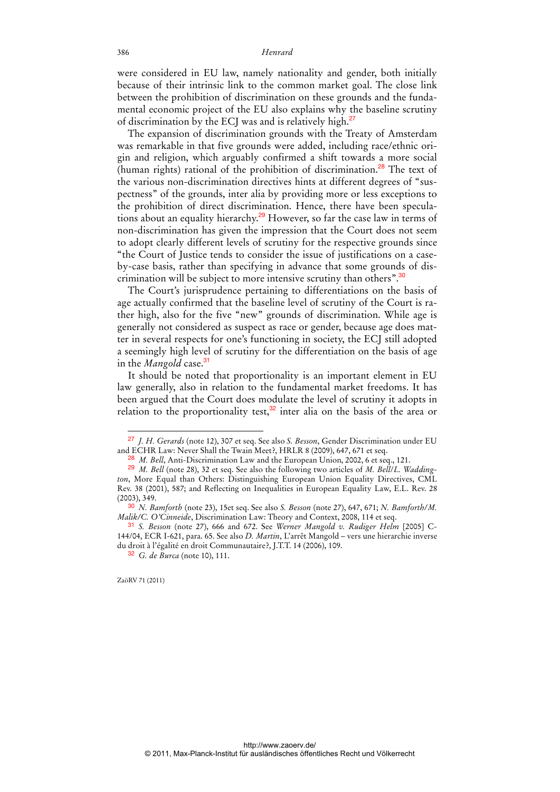were considered in EU law, namely nationality and gender, both initially because of their intrinsic link to the common market goal. The close link between the prohibition of discrimination on these grounds and the fundamental economic project of the EU also explains why the baseline scrutiny of discrimination by the ECJ was and is relatively high.<sup>27</sup>

The expansion of discrimination grounds with the Treaty of Amsterdam was remarkable in that five grounds were added, including race/ethnic origin and religion, which arguably confirmed a shift towards a more social (human rights) rational of the prohibition of discrimination.<sup>28</sup> The text of the various non-discrimination directives hints at different degrees of "suspectness" of the grounds, inter alia by providing more or less exceptions to the prohibition of direct discrimination. Hence, there have been speculations about an equality hierarchy.<sup>29</sup> However, so far the case law in terms of non-discrimination has given the impression that the Court does not seem to adopt clearly different levels of scrutiny for the respective grounds since "the Court of Justice tends to consider the issue of justifications on a caseby-case basis, rather than specifying in advance that some grounds of discrimination will be subject to more intensive scrutiny than others".<sup>30</sup>

The Court's jurisprudence pertaining to differentiations on the basis of age actually confirmed that the baseline level of scrutiny of the Court is rather high, also for the five "new" grounds of discrimination. While age is generally not considered as suspect as race or gender, because age does matter in several respects for one's functioning in society, the ECJ still adopted a seemingly high level of scrutiny for the differentiation on the basis of age in the *Mangold* case.<sup>31</sup>

It should be noted that proportionality is an important element in EU law generally, also in relation to the fundamental market freedoms. It has been argued that the Court does modulate the level of scrutiny it adopts in relation to the proportionality test, $3^2$  inter alia on the basis of the area or

<sup>27</sup> *J. H. Gerards* (note 12), 307 et seq. See also *S. Besson*, Gender Discrimination under EU and ECHR Law: Never Shall the Twain Meet?, HRLR 8 (2009), 647, 671 et seq.

<sup>&</sup>lt;sup>28</sup> *M. Bell*, Anti-Discrimination Law and the European Union, 2002, 6 et seq., 121.

<sup>29</sup> *M. Bell* (note 28), 32 et seq. See also the following two articles of *M. Bell*/*L. Waddington*, More Equal than Others: Distinguishing European Union Equality Directives, CML Rev. 38 (2001), 587; and Reflecting on Inequalities in European Equality Law, E.L. Rev. 28 (2003), 349.

<sup>30</sup> *N. Bamforth* (note 23), 15et seq. See also *S. Besson* (note 27), 647, 671; *N. Bamforth/M. Malik/C. O'Cinneide*, Discrimination Law: Theory and Context, 2008, 114 et seq.

<sup>31</sup> *S. Besson* (note 27), 666 and 672. See *Werner Mangold v. Rudiger Helm* [2005] C-144/04, ECR I-621, para. 65. See also *D. Martin*, L'arrêt Mangold – vers une hierarchie inverse du droit à l'égalité en droit Communautaire?, J.T.T. 14 (2006), 109.

<sup>32</sup> *G. de Burca* (note 10), 111.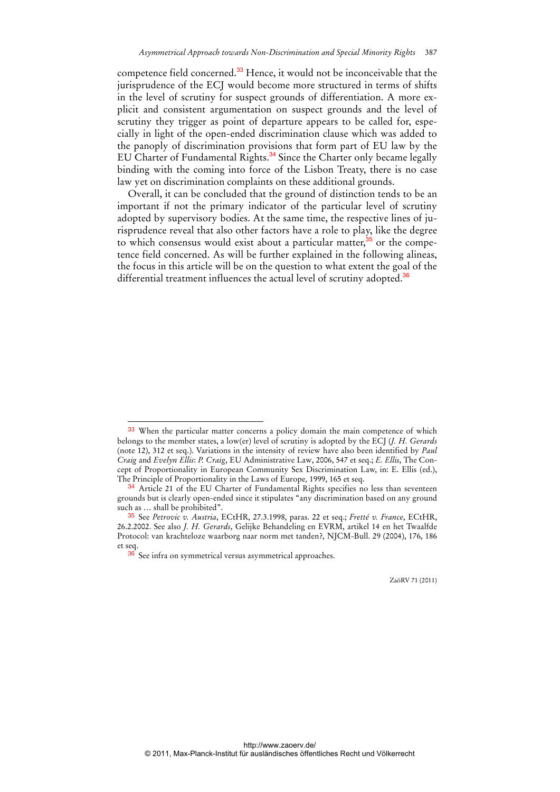competence field concerned.<sup>33</sup> Hence, it would not be inconceivable that the jurisprudence of the ECJ would become more structured in terms of shifts in the level of scrutiny for suspect grounds of differentiation. A more explicit and consistent argumentation on suspect grounds and the level of scrutiny they trigger as point of departure appears to be called for, especially in light of the open-ended discrimination clause which was added to the panoply of discrimination provisions that form part of EU law by the EU Charter of Fundamental Rights.<sup>34</sup> Since the Charter only became legally binding with the coming into force of the Lisbon Treaty, there is no case law yet on discrimination complaints on these additional grounds.

Overall, it can be concluded that the ground of distinction tends to be an important if not the primary indicator of the particular level of scrutiny adopted by supervisory bodies. At the same time, the respective lines of jurisprudence reveal that also other factors have a role to play, like the degree to which consensus would exist about a particular matter, $35$  or the competence field concerned. As will be further explained in the following alineas, the focus in this article will be on the question to what extent the goal of the differential treatment influences the actual level of scrutiny adopted.<sup>36</sup>

 $\overline{a}$ 

<sup>33</sup> When the particular matter concerns a policy domain the main competence of which belongs to the member states, a low(er) level of scrutiny is adopted by the ECJ (*J. H. Gerards* (note 12), 312 et seq.). Variations in the intensity of review have also been identified by *Paul Craig* and *Evelyn Ellis*: *P. Craig*, EU Administrative Law, 2006, 547 et seq.; *E. Ellis*, The Concept of Proportionality in European Community Sex Discrimination Law, in: E. Ellis (ed.), The Principle of Proportionality in the Laws of Europe*,* 1999, 165 et seq.

<sup>&</sup>lt;sup>34</sup> Article 21 of the EU Charter of Fundamental Rights specifies no less than seventeen grounds but is clearly open-ended since it stipulates "any discrimination based on any ground such as … shall be prohibited".

<sup>35</sup> See *Petrovic v. Austria*, ECtHR, 27.3.1998, paras. 22 et seq.; *Fretté v. France*, ECtHR, 26.2.2002. See also *J. H. Gerards*, Gelijke Behandeling en EVRM, artikel 14 en het Twaalfde Protocol: van krachteloze waarborg naar norm met tanden?, NJCM-Bull. 29 (2004), 176, 186 et seq.

<sup>&</sup>lt;sup>36</sup> See infra on symmetrical versus asymmetrical approaches.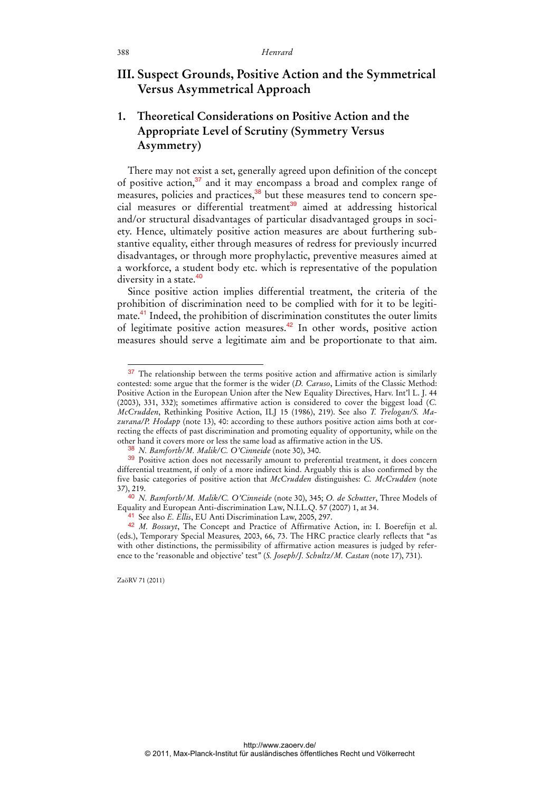## **III. Suspect Grounds, Positive Action and the Symmetrical Versus Asymmetrical Approach**

## **1. Theoretical Considerations on Positive Action and the Appropriate Level of Scrutiny (Symmetry Versus Asymmetry)**

There may not exist a set, generally agreed upon definition of the concept of positive action, $37$  and it may encompass a broad and complex range of measures, policies and practices,<sup>38</sup> but these measures tend to concern special measures or differential treatment<sup>39</sup> aimed at addressing historical and/or structural disadvantages of particular disadvantaged groups in society. Hence, ultimately positive action measures are about furthering substantive equality, either through measures of redress for previously incurred disadvantages, or through more prophylactic, preventive measures aimed at a workforce, a student body etc. which is representative of the population diversity in a state.<sup>40</sup>

Since positive action implies differential treatment, the criteria of the prohibition of discrimination need to be complied with for it to be legitimate.<sup>41</sup> Indeed, the prohibition of discrimination constitutes the outer limits of legitimate positive action measures.<sup>42</sup> In other words, positive action measures should serve a legitimate aim and be proportionate to that aim.

<sup>&</sup>lt;sup>37</sup> The relationship between the terms positive action and affirmative action is similarly contested: some argue that the former is the wider (*D. Caruso*, Limits of the Classic Method: Positive Action in the European Union after the New Equality Directives, Harv. Int'l L. J. 44 (2003), 331, 332); sometimes affirmative action is considered to cover the biggest load (*C. McCrudden*, Rethinking Positive Action, ILJ 15 (1986), 219). See also *T. Trelogan/S. Mazurana/P. Hodapp* (note 13), 40: according to these authors positive action aims both at correcting the effects of past discrimination and promoting equality of opportunity, while on the other hand it covers more or less the same load as affirmative action in the US.

<sup>38</sup> *N. Bamforth/M. Malik/C. O'Cinneide* (note 30), 340.

<sup>&</sup>lt;sup>39</sup> Positive action does not necessarily amount to preferential treatment, it does concern differential treatment, if only of a more indirect kind. Arguably this is also confirmed by the five basic categories of positive action that *McCrudden* distinguishes: *C. McCrudden* (note 37), 219.

<sup>40</sup> *N. Bamforth/M. Malik/C. O'Cinneide* (note 30), 345; *O. de Schutter*, Three Models of Equality and European Anti-discrimination Law, N.I.L.Q. 57 (2007) 1, at 34.

<sup>41</sup> See also *E. Ellis*, EU Anti Discrimination Law, 2005, 297.

<sup>42</sup> *M. Bossuyt*, The Concept and Practice of Affirmative Action, in: I. Boerefijn et al. (eds.), Temporary Special Measures*,* 2003, 66, 73. The HRC practice clearly reflects that "as with other distinctions, the permissibility of affirmative action measures is judged by reference to the 'reasonable and objective' test" (*S. Joseph/J. Schultz/M. Castan* (note 17), 731).

ZaöRV 71 (2011)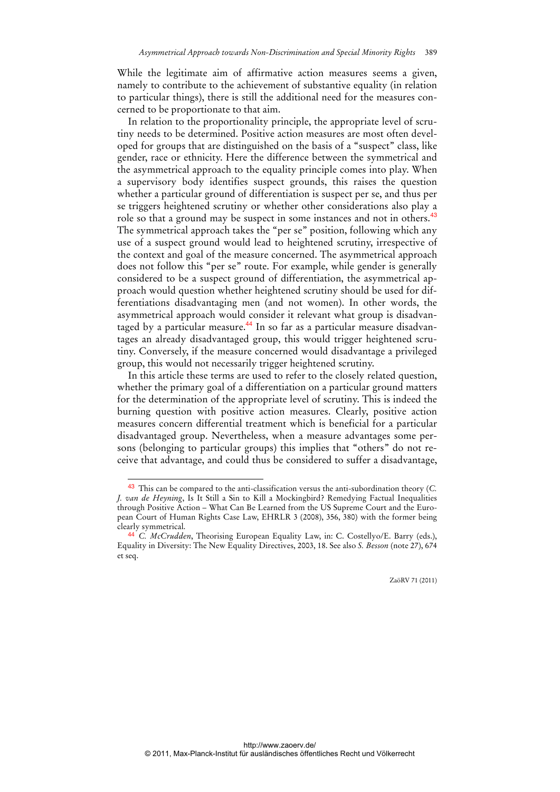While the legitimate aim of affirmative action measures seems a given, namely to contribute to the achievement of substantive equality (in relation to particular things), there is still the additional need for the measures concerned to be proportionate to that aim.

In relation to the proportionality principle, the appropriate level of scrutiny needs to be determined. Positive action measures are most often developed for groups that are distinguished on the basis of a "suspect" class, like gender, race or ethnicity. Here the difference between the symmetrical and the asymmetrical approach to the equality principle comes into play. When a supervisory body identifies suspect grounds, this raises the question whether a particular ground of differentiation is suspect per se, and thus per se triggers heightened scrutiny or whether other considerations also play a role so that a ground may be suspect in some instances and not in others.<sup>43</sup> The symmetrical approach takes the "per se" position, following which any use of a suspect ground would lead to heightened scrutiny, irrespective of the context and goal of the measure concerned. The asymmetrical approach does not follow this "per se" route. For example, while gender is generally considered to be a suspect ground of differentiation, the asymmetrical approach would question whether heightened scrutiny should be used for differentiations disadvantaging men (and not women). In other words, the asymmetrical approach would consider it relevant what group is disadvantaged by a particular measure.<sup>44</sup> In so far as a particular measure disadvantages an already disadvantaged group, this would trigger heightened scrutiny. Conversely, if the measure concerned would disadvantage a privileged group, this would not necessarily trigger heightened scrutiny.

In this article these terms are used to refer to the closely related question, whether the primary goal of a differentiation on a particular ground matters for the determination of the appropriate level of scrutiny. This is indeed the burning question with positive action measures. Clearly, positive action measures concern differential treatment which is beneficial for a particular disadvantaged group. Nevertheless, when a measure advantages some persons (belonging to particular groups) this implies that "others" do not receive that advantage, and could thus be considered to suffer a disadvantage,

 $\ddot{ }$ 

<sup>43</sup> This can be compared to the anti-classification versus the anti-subordination theory (*C. J. van de Heyning*, Is It Still a Sin to Kill a Mockingbird? Remedying Factual Inequalities through Positive Action – What Can Be Learned from the US Supreme Court and the European Court of Human Rights Case Law, EHRLR 3 (2008), 356, 380) with the former being clearly symmetrical.

<sup>44</sup> *C. McCrudden*, Theorising European Equality Law, in: C. Costellyo/E. Barry (eds.), Equality in Diversity: The New Equality Directives, 2003, 18. See also *S. Besson* (note 27), 674 et seq.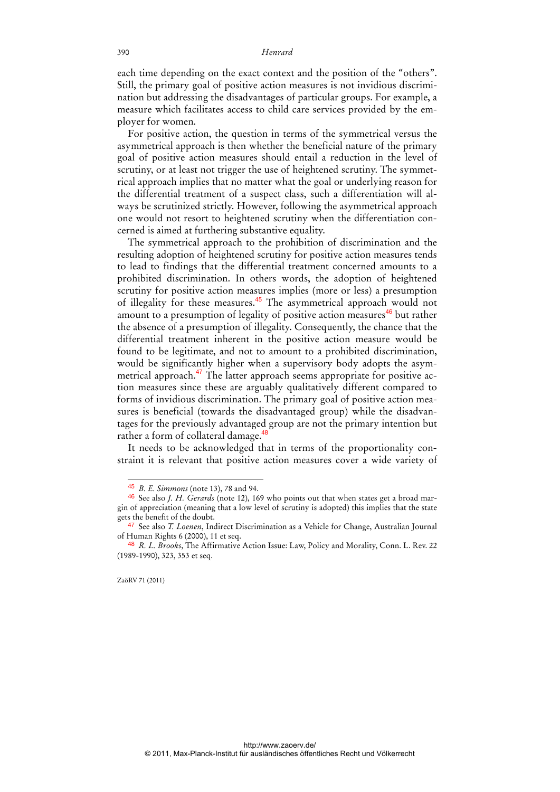each time depending on the exact context and the position of the "others". Still, the primary goal of positive action measures is not invidious discrimination but addressing the disadvantages of particular groups. For example, a measure which facilitates access to child care services provided by the employer for women.

For positive action, the question in terms of the symmetrical versus the asymmetrical approach is then whether the beneficial nature of the primary goal of positive action measures should entail a reduction in the level of scrutiny, or at least not trigger the use of heightened scrutiny. The symmetrical approach implies that no matter what the goal or underlying reason for the differential treatment of a suspect class, such a differentiation will always be scrutinized strictly. However, following the asymmetrical approach one would not resort to heightened scrutiny when the differentiation concerned is aimed at furthering substantive equality.

The symmetrical approach to the prohibition of discrimination and the resulting adoption of heightened scrutiny for positive action measures tends to lead to findings that the differential treatment concerned amounts to a prohibited discrimination. In others words, the adoption of heightened scrutiny for positive action measures implies (more or less) a presumption of illegality for these measures.<sup>45</sup> The asymmetrical approach would not amount to a presumption of legality of positive action measures $46$  but rather the absence of a presumption of illegality. Consequently, the chance that the differential treatment inherent in the positive action measure would be found to be legitimate, and not to amount to a prohibited discrimination, would be significantly higher when a supervisory body adopts the asymmetrical approach.<sup>47</sup> The latter approach seems appropriate for positive action measures since these are arguably qualitatively different compared to forms of invidious discrimination. The primary goal of positive action measures is beneficial (towards the disadvantaged group) while the disadvantages for the previously advantaged group are not the primary intention but rather a form of collateral damage.<sup>48</sup>

It needs to be acknowledged that in terms of the proportionality constraint it is relevant that positive action measures cover a wide variety of

<sup>45</sup> *B. E. Simmons* (note 13), 78 and 94.

<sup>46</sup> See also *J. H. Gerards* (note 12), 169 who points out that when states get a broad margin of appreciation (meaning that a low level of scrutiny is adopted) this implies that the state gets the benefit of the doubt.

<sup>47</sup> See also *T. Loenen*, Indirect Discrimination as a Vehicle for Change, Australian Journal of Human Rights 6 (2000), 11 et seq.

<sup>48</sup> *R. L. Brooks*, The Affirmative Action Issue: Law, Policy and Morality, Conn. L. Rev. 22 (1989-1990), 323, 353 et seq.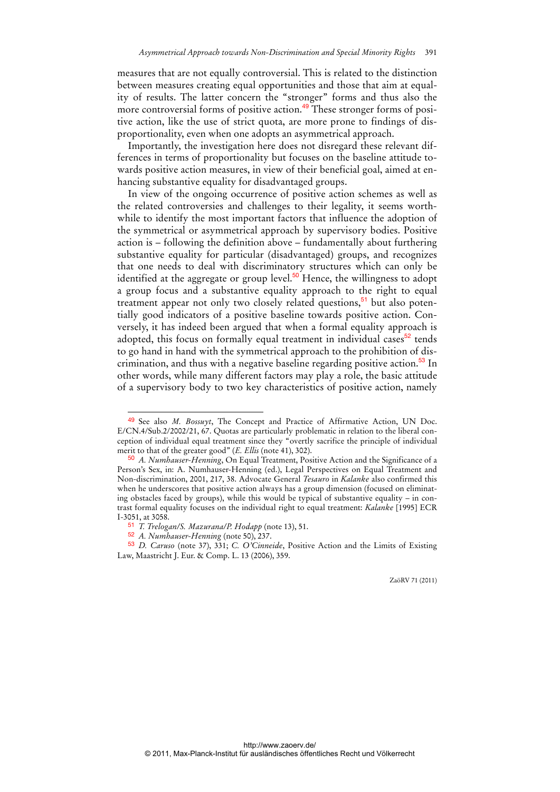measures that are not equally controversial. This is related to the distinction between measures creating equal opportunities and those that aim at equality of results. The latter concern the "stronger" forms and thus also the more controversial forms of positive action.<sup>49</sup> These stronger forms of positive action, like the use of strict quota, are more prone to findings of disproportionality, even when one adopts an asymmetrical approach.

Importantly, the investigation here does not disregard these relevant differences in terms of proportionality but focuses on the baseline attitude towards positive action measures, in view of their beneficial goal, aimed at enhancing substantive equality for disadvantaged groups.

In view of the ongoing occurrence of positive action schemes as well as the related controversies and challenges to their legality, it seems worthwhile to identify the most important factors that influence the adoption of the symmetrical or asymmetrical approach by supervisory bodies. Positive action is – following the definition above – fundamentally about furthering substantive equality for particular (disadvantaged) groups, and recognizes that one needs to deal with discriminatory structures which can only be identified at the aggregate or group level. $50$  Hence, the willingness to adopt a group focus and a substantive equality approach to the right to equal treatment appear not only two closely related questions,<sup>51</sup> but also potentially good indicators of a positive baseline towards positive action. Conversely, it has indeed been argued that when a formal equality approach is adopted, this focus on formally equal treatment in individual cases $52$  tends to go hand in hand with the symmetrical approach to the prohibition of discrimination, and thus with a negative baseline regarding positive action.<sup>53</sup> In other words, while many different factors may play a role, the basic attitude of a supervisory body to two key characteristics of positive action, namely

<sup>49</sup> See also *M. Bossuyt*, The Concept and Practice of Affirmative Action, UN Doc. E/CN.4/Sub.2/2002/21, 67. Quotas are particularly problematic in relation to the liberal conception of individual equal treatment since they "overtly sacrifice the principle of individual merit to that of the greater good" (*E. Ellis* (note 41), 302).

<sup>50</sup> *A. Numhauser-Henning*, On Equal Treatment, Positive Action and the Significance of a Person's Sex, in: A. Numhauser-Henning (ed.), Legal Perspectives on Equal Treatment and Non-discrimination, 2001, 217, 38. Advocate General *Tesauro* in *Kalanke* also confirmed this when he underscores that positive action always has a group dimension (focused on eliminating obstacles faced by groups), while this would be typical of substantive equality – in contrast formal equality focuses on the individual right to equal treatment: *Kalanke* [1995] ECR I-3051, at 3058.

<sup>51</sup> *T. Trelogan/S. Mazurana/P. Hodapp* (note 13), 51.

<sup>52</sup> *A. Numhauser-Henning* (note 50), 237.

<sup>53</sup> *D. Caruso* (note 37), 331; *C. O'Cinneide*, Positive Action and the Limits of Existing Law, Maastricht J. Eur. & Comp. L. 13 (2006), 359.

ZaöRV 71 (2011)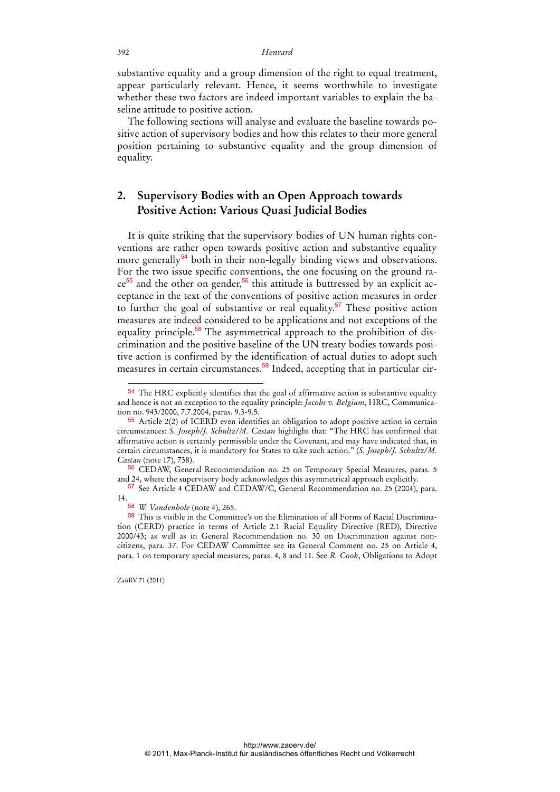substantive equality and a group dimension of the right to equal treatment, appear particularly relevant. Hence, it seems worthwhile to investigate whether these two factors are indeed important variables to explain the baseline attitude to positive action.

The following sections will analyse and evaluate the baseline towards positive action of supervisory bodies and how this relates to their more general position pertaining to substantive equality and the group dimension of equality.

## **2. Supervisory Bodies with an Open Approach towards Positive Action: Various Quasi Judicial Bodies**

It is quite striking that the supervisory bodies of UN human rights conventions are rather open towards positive action and substantive equality more generally<sup>54</sup> both in their non-legally binding views and observations. For the two issue specific conventions, the one focusing on the ground ra $ce^{55}$  and the other on gender,<sup>56</sup> this attitude is buttressed by an explicit acceptance in the text of the conventions of positive action measures in order to further the goal of substantive or real equality.<sup>57</sup> These positive action measures are indeed considered to be applications and not exceptions of the equality principle.<sup>58</sup> The asymmetrical approach to the prohibition of discrimination and the positive baseline of the UN treaty bodies towards positive action is confirmed by the identification of actual duties to adopt such measures in certain circumstances.<sup>59</sup> Indeed, accepting that in particular cir-

<sup>&</sup>lt;sup>54</sup> The HRC explicitly identifies that the goal of affirmative action is substantive equality and hence is not an exception to the equality principle: *Jacobs v. Belgium*, HRC, Communication no. 943/2000, 7.7.2004, paras. 9.3-9.5.

<sup>55</sup> Article 2(2) of ICERD even identifies an obligation to adopt positive action in certain circumstances: *S. Joseph/J. Schultz/M. Castan* highlight that: "The HRC has confirmed that affirmative action is certainly permissible under the Covenant, and may have indicated that, in certain circumstances, it is mandatory for States to take such action." (*S. Joseph/J. Schultz/M. Castan* (note 17), 738).

<sup>56</sup> CEDAW, General Recommendation no. 25 on Temporary Special Measures, paras. 5 and 24, where the supervisory body acknowledges this asymmetrical approach explicitly.

<sup>57</sup> See Article 4 CEDAW and CEDAW/C, General Recommendation no. 25 (2004), para. 14.

<sup>58</sup> *W. Vandenhole* (note 4), 265.

<sup>59</sup> This is visible in the Committee's on the Elimination of all Forms of Racial Discrimination (CERD) practice in terms of Article 2.1 Racial Equality Directive (RED), Directive 2000/43; as well as in General Recommendation no. 30 on Discrimination against noncitizens, para. 37. For CEDAW Committee see its General Comment no. 25 on Article 4, para. 1 on temporary special measures, paras. 4, 8 and 11. See *R. Cook*, Obligations to Adopt

ZaöRV 71 (2011)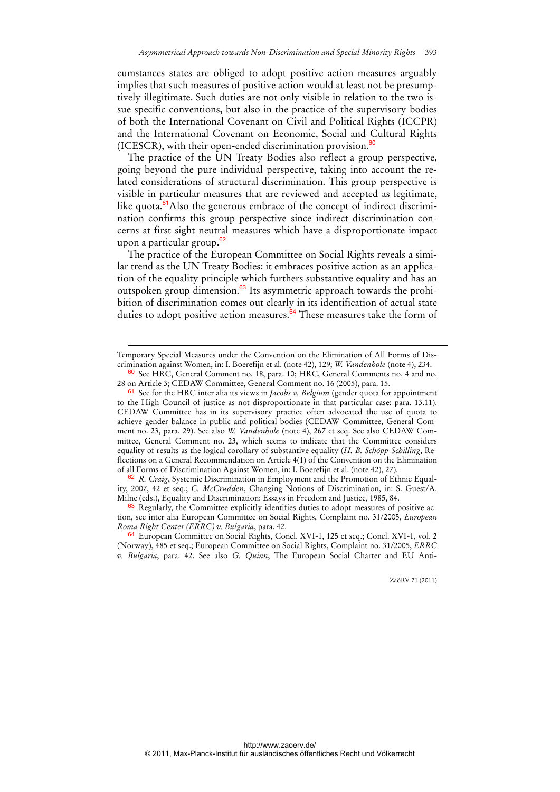cumstances states are obliged to adopt positive action measures arguably implies that such measures of positive action would at least not be presumptively illegitimate. Such duties are not only visible in relation to the two issue specific conventions, but also in the practice of the supervisory bodies of both the International Covenant on Civil and Political Rights (ICCPR) and the International Covenant on Economic, Social and Cultural Rights (ICESCR), with their open-ended discrimination provision.<sup>60</sup>

The practice of the UN Treaty Bodies also reflect a group perspective, going beyond the pure individual perspective, taking into account the related considerations of structural discrimination. This group perspective is visible in particular measures that are reviewed and accepted as legitimate, like quota.<sup>61</sup>Also the generous embrace of the concept of indirect discrimination confirms this group perspective since indirect discrimination concerns at first sight neutral measures which have a disproportionate impact upon a particular group.<sup>62</sup>

The practice of the European Committee on Social Rights reveals a similar trend as the UN Treaty Bodies: it embraces positive action as an application of the equality principle which furthers substantive equality and has an outspoken group dimension.<sup>63</sup> Its asymmetric approach towards the prohibition of discrimination comes out clearly in its identification of actual state duties to adopt positive action measures. $64$  These measures take the form of

-

62 *R. Craig*, Systemic Discrimination in Employment and the Promotion of Ethnic Equality, 2007, 42 et seq.; *C. McCrudden*, Changing Notions of Discrimination, in: S. Guest/A. Milne (eds.), Equality and Discrimination: Essays in Freedom and Justice*,* 1985, 84.

63 Regularly, the Committee explicitly identifies duties to adopt measures of positive action, see inter alia European Committee on Social Rights, Complaint no. 31/2005, *European Roma Right Center (ERRC) v. Bulgaria*, para. 42.

64 European Committee on Social Rights, Concl. XVI-1, 125 et seq.; Concl. XVI-1, vol. 2 (Norway), 485 et seq.; European Committee on Social Rights, Complaint no. 31/2005, *ERRC v. Bulgaria*, para. 42. See also *G. Quinn*, The European Social Charter and EU Anti-

Temporary Special Measures under the Convention on the Elimination of All Forms of Discrimination against Women, in: I. Boerefijn et al. (note 42), 129; *W. Vandenhole* (note 4), 234.

<sup>60</sup> See HRC, General Comment no. 18, para. 10; HRC, General Comments no. 4 and no. 28 on Article 3; CEDAW Committee, General Comment no. 16 (2005), para. 15.

<sup>61</sup> See for the HRC inter alia its views in *Jacobs v. Belgium* (gender quota for appointment to the High Council of justice as not disproportionate in that particular case: para. 13.11). CEDAW Committee has in its supervisory practice often advocated the use of quota to achieve gender balance in public and political bodies (CEDAW Committee, General Comment no. 23, para. 29). See also *W. Vandenhole* (note 4), 267 et seq. See also CEDAW Committee, General Comment no. 23, which seems to indicate that the Committee considers equality of results as the logical corollary of substantive equality (*H. B. Schöpp-Schilling*, Reflections on a General Recommendation on Article 4(1) of the Convention on the Elimination of all Forms of Discrimination Against Women, in: I. Boerefijn et al. (note 42), 27).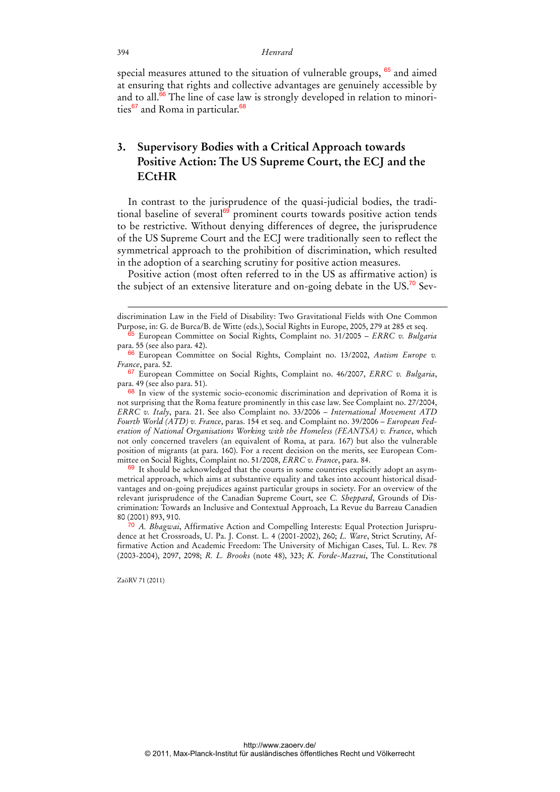special measures attuned to the situation of vulnerable groups,  $65$  and aimed at ensuring that rights and collective advantages are genuinely accessible by and to all. $66$  The line of case law is strongly developed in relation to minorities $^{67}$  and Roma in particular. $^{68}$ 

## **3. Supervisory Bodies with a Critical Approach towards Positive Action: The US Supreme Court, the ECJ and the ECtHR**

In contrast to the jurisprudence of the quasi-judicial bodies, the traditional baseline of several<sup>69</sup> prominent courts towards positive action tends to be restrictive. Without denying differences of degree, the jurisprudence of the US Supreme Court and the ECJ were traditionally seen to reflect the symmetrical approach to the prohibition of discrimination, which resulted in the adoption of a searching scrutiny for positive action measures.

Positive action (most often referred to in the US as affirmative action) is the subject of an extensive literature and on-going debate in the US.<sup>70</sup> Sev-

 $69$  It should be acknowledged that the courts in some countries explicitly adopt an asymmetrical approach, which aims at substantive equality and takes into account historical disadvantages and on-going prejudices against particular groups in society. For an overview of the relevant jurisprudence of the Canadian Supreme Court, see *C. Sheppard*, Grounds of Discrimination: Towards an Inclusive and Contextual Approach, La Revue du Barreau Canadien 80 (2001) 893, 910.

70 *A. Bhagwai*, Affirmative Action and Compelling Interests: Equal Protection Jurisprudence at het Crossroads, U. Pa. J. Const. L. 4 (2001-2002), 260; *L. Ware*, Strict Scrutiny, Affirmative Action and Academic Freedom: The University of Michigan Cases, Tul. L. Rev. 78 (2003-2004), 2097, 2098; *R. L. Brooks* (note 48), 323; *K. Forde-Mazrui*, The Constitutional

ZaöRV 71 (2011)

-

discrimination Law in the Field of Disability: Two Gravitational Fields with One Common Purpose, in: G. de Burca/B. de Witte (eds.), Social Rights in Europe, 2005, 279 at 285 et seq.

<sup>65</sup> European Committee on Social Rights, Complaint no. 31/2005 – *ERRC v. Bulgaria* para. 55 (see also para. 42).

<sup>66</sup> European Committee on Social Rights, Complaint no. 13/2002, *Autism Europe v. France*, para. 52.

<sup>67</sup> European Committee on Social Rights, Complaint no. 46/2007, *ERRC v. Bulgaria*, para. 49 (see also para. 51).

<sup>68</sup> In view of the systemic socio-economic discrimination and deprivation of Roma it is not surprising that the Roma feature prominently in this case law. See Complaint no. 27/2004, *ERRC v. Italy*, para. 21. See also Complaint no. 33/2006 – *International Movement ATD Fourth World (ATD) v. France*, paras. 154 et seq. and Complaint no. 39/2006 – *European Federation of National Organisations Working with the Homeless (FEANTSA) v. France*, which not only concerned travelers (an equivalent of Roma, at para. 167) but also the vulnerable position of migrants (at para. 160). For a recent decision on the merits, see European Committee on Social Rights, Complaint no. 51/2008, *ERRC v. France*, para. 84.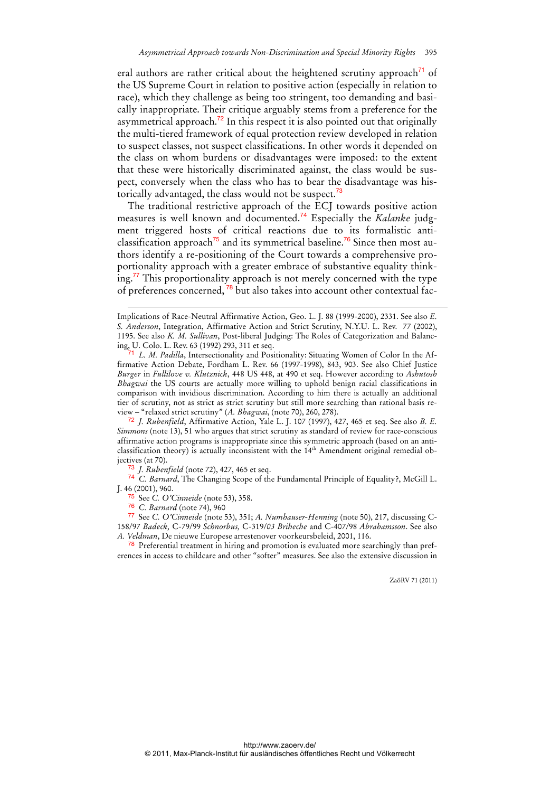eral authors are rather critical about the heightened scrutiny approach<sup>71</sup> of the US Supreme Court in relation to positive action (especially in relation to race), which they challenge as being too stringent, too demanding and basically inappropriate. Their critique arguably stems from a preference for the asymmetrical approach.<sup>72</sup> In this respect it is also pointed out that originally the multi-tiered framework of equal protection review developed in relation to suspect classes, not suspect classifications. In other words it depended on the class on whom burdens or disadvantages were imposed: to the extent that these were historically discriminated against, the class would be suspect, conversely when the class who has to bear the disadvantage was historically advantaged, the class would not be suspect.<sup>73</sup>

The traditional restrictive approach of the ECJ towards positive action measures is well known and documented.74 Especially the *Kalanke* judgment triggered hosts of critical reactions due to its formalistic anticlassification approach<sup>75</sup> and its symmetrical baseline.<sup>76</sup> Since then most authors identify a re-positioning of the Court towards a comprehensive proportionality approach with a greater embrace of substantive equality thinking.<sup>77</sup> This proportionality approach is not merely concerned with the type of preferences concerned,<sup>78</sup> but also takes into account other contextual fac-

73 *J. Rubenfield* (note 72), 427, 465 et seq.

74 *C. Barnard*, The Changing Scope of the Fundamental Principle of Equality?, McGill L. J. 46 (2001), 960.

75 See *C. O'Cinneide* (note 53), 358.

76 *C. Barnard* (note 74), 960

-

77 See *C. O'Cinneide* (note 53), 351; *A. Numhauser-Henning* (note 50), 217, discussing C-158/97 *Badeck,* C-79/99 *Schnorbus,* C-319/*03 Briheche* and C-407/98 *Abrahamsson*. See also *A. Veldman*, De nieuwe Europese arrestenover voorkeursbeleid, 2001, 116.

<sup>78</sup> Preferential treatment in hiring and promotion is evaluated more searchingly than preferences in access to childcare and other "softer" measures. See also the extensive discussion in

Implications of Race-Neutral Affirmative Action, Geo. L. J. 88 (1999-2000), 2331. See also *E. S. Anderson*, Integration, Affirmative Action and Strict Scrutiny, N.Y.U. L. Rev. 77 (2002), 1195. See also *K. M. Sullivan*, Post-liberal Judging: The Roles of Categorization and Balancing, U. Colo. L. Rev. 63 (1992) 293, 311 et seq.

<sup>71</sup> *L. M. Padilla*, Intersectionality and Positionality: Situating Women of Color In the Affirmative Action Debate, Fordham L. Rev. 66 (1997-1998), 843, 903. See also Chief Justice *Burger* in *Fullilove v. Klutznick*, 448 US 448, at 490 et seq. However according to *Ashutosh Bhagwai* the US courts are actually more willing to uphold benign racial classifications in comparison with invidious discrimination. According to him there is actually an additional tier of scrutiny, not as strict as strict scrutiny but still more searching than rational basis review – "relaxed strict scrutiny" (*A. Bhagwai*, (note 70), 260, 278).

<sup>72</sup> *J. Rubenfield*, Affirmative Action, Yale L. J. 107 (1997), 427, 465 et seq. See also *B. E. Simmons* (note 13), 51 who argues that strict scrutiny as standard of review for race-conscious affirmative action programs is inappropriate since this symmetric approach (based on an anticlassification theory) is actually inconsistent with the  $14<sup>th</sup>$  Amendment original remedial objectives (at 70).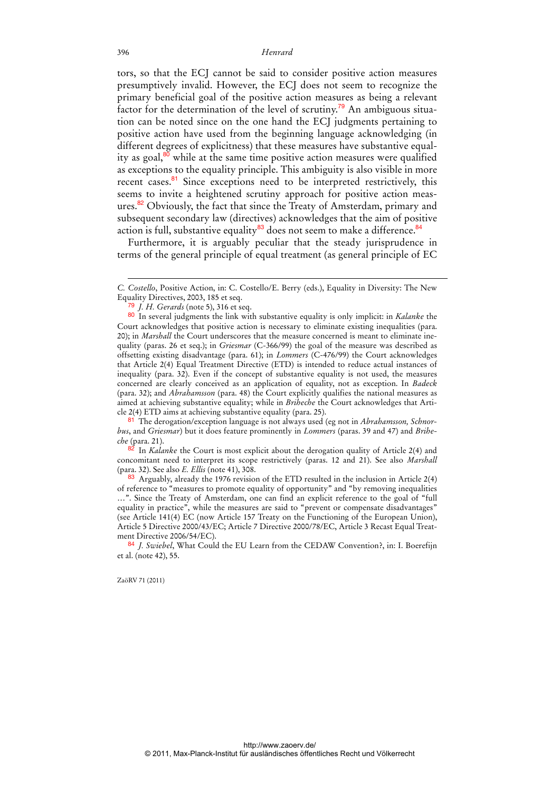tors, so that the ECJ cannot be said to consider positive action measures presumptively invalid. However, the ECJ does not seem to recognize the primary beneficial goal of the positive action measures as being a relevant factor for the determination of the level of scrutiny.<sup>79</sup> An ambiguous situation can be noted since on the one hand the ECJ judgments pertaining to positive action have used from the beginning language acknowledging (in different degrees of explicitness) that these measures have substantive equality as goal, $80$  while at the same time positive action measures were qualified as exceptions to the equality principle. This ambiguity is also visible in more recent cases. $81$  Since exceptions need to be interpreted restrictively, this seems to invite a heightened scrutiny approach for positive action measures.<sup>82</sup> Obviously, the fact that since the Treaty of Amsterdam, primary and subsequent secondary law (directives) acknowledges that the aim of positive action is full, substantive equality $^{83}$  does not seem to make a difference. $^{84}$ 

Furthermore, it is arguably peculiar that the steady jurisprudence in terms of the general principle of equal treatment (as general principle of EC

82 In *Kalanke* the Court is most explicit about the derogation quality of Article 2(4) and concomitant need to interpret its scope restrictively (paras. 12 and 21). See also *Marshall*  (para. 32). See also *E. Ellis* (note 41), 308.

83 Arguably, already the 1976 revision of the ETD resulted in the inclusion in Article 2(4) of reference to "measures to promote equality of opportunity" and "by removing inequalities …". Since the Treaty of Amsterdam, one can find an explicit reference to the goal of "full equality in practice", while the measures are said to "prevent or compensate disadvantages" (see Article 141(4) EC (now Article 157 Treaty on the Functioning of the European Union), Article 5 Directive 2000/43/EC; Article 7 Directive 2000/78/EC, Article 3 Recast Equal Treatment Directive 2006/54/EC).

-

*C. Costello*, Positive Action, in: C. Costello/E. Berry (eds.), Equality in Diversity: The New Equality Directives, 2003, 185 et seq.

<sup>79</sup> *J. H. Gerards* (note 5), 316 et seq.

<sup>80</sup> In several judgments the link with substantive equality is only implicit: in *Kalanke* the Court acknowledges that positive action is necessary to eliminate existing inequalities (para. 20); in *Marshall* the Court underscores that the measure concerned is meant to eliminate inequality (paras. 26 et seq.); in *Griesmar* (C-366/99) the goal of the measure was described as offsetting existing disadvantage (para. 61); in *Lommers* (C-476/99) the Court acknowledges that Article 2(4) Equal Treatment Directive (ETD) is intended to reduce actual instances of inequality (para. 32). Even if the concept of substantive equality is not used, the measures concerned are clearly conceived as an application of equality, not as exception. In *Badeck* (para. 32); and *Abrahamsson* (para. 48) the Court explicitly qualifies the national measures as aimed at achieving substantive equality; while in *Briheche* the Court acknowledges that Article 2(4) ETD aims at achieving substantive equality (para. 25).

<sup>81</sup> The derogation/exception language is not always used (eg not in *Abrahamsson, Schnorbus*, and *Griesmar*) but it does feature prominently in *Lommers* (paras. 39 and 47) and *Briheche* (para. 21).

<sup>84</sup> *J. Swiebel*, What Could the EU Learn from the CEDAW Convention?, in: I. Boerefijn et al. (note 42), 55.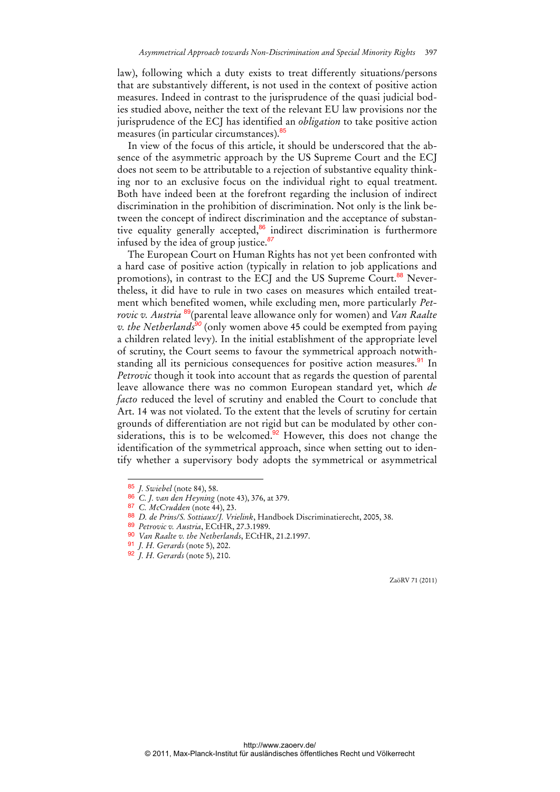law), following which a duty exists to treat differently situations/persons that are substantively different, is not used in the context of positive action measures. Indeed in contrast to the jurisprudence of the quasi judicial bodies studied above, neither the text of the relevant EU law provisions nor the jurisprudence of the ECJ has identified an *obligation* to take positive action measures (in particular circumstances).<sup>85</sup>

In view of the focus of this article, it should be underscored that the absence of the asymmetric approach by the US Supreme Court and the ECJ does not seem to be attributable to a rejection of substantive equality thinking nor to an exclusive focus on the individual right to equal treatment. Both have indeed been at the forefront regarding the inclusion of indirect discrimination in the prohibition of discrimination. Not only is the link between the concept of indirect discrimination and the acceptance of substantive equality generally accepted, $86$  indirect discrimination is furthermore infused by the idea of group justice.*<sup>87</sup>*

The European Court on Human Rights has not yet been confronted with a hard case of positive action (typically in relation to job applications and promotions), in contrast to the ECJ and the US Supreme Court.<sup>88</sup> Nevertheless, it did have to rule in two cases on measures which entailed treatment which benefited women, while excluding men, more particularly *Petrovic v. Austria* <sup>89</sup>(parental leave allowance only for women) and *Van Raalte v. the Netherlands<sup>90</sup>* (only women above 45 could be exempted from paying a children related levy). In the initial establishment of the appropriate level of scrutiny, the Court seems to favour the symmetrical approach notwithstanding all its pernicious consequences for positive action measures.<sup>91</sup> In *Petrovic* though it took into account that as regards the question of parental leave allowance there was no common European standard yet, which *de facto* reduced the level of scrutiny and enabled the Court to conclude that Art. 14 was not violated. To the extent that the levels of scrutiny for certain grounds of differentiation are not rigid but can be modulated by other considerations, this is to be welcomed. $92$  However, this does not change the identification of the symmetrical approach, since when setting out to identify whether a supervisory body adopts the symmetrical or asymmetrical

 $\overline{a}$ 

<sup>85</sup> *J. Swiebel* (note 84), 58.

<sup>86</sup> *C. J. van den Heyning* (note 43), 376, at 379.

<sup>87</sup> *C. McCrudden* (note 44), 23.

<sup>88</sup> *D. de Prins/S. Sottiaux/J. Vrielink*, Handboek Discriminatierecht, 2005, 38.

<sup>89</sup> *Petrovic v. Austria*, ECtHR, 27.3.1989.

<sup>90</sup> *Van Raalte v. the Netherlands*, ECtHR, 21.2.1997.

<sup>91</sup> *J. H. Gerards* (note 5), 202.

<sup>92</sup> *J. H. Gerards* (note 5), 210.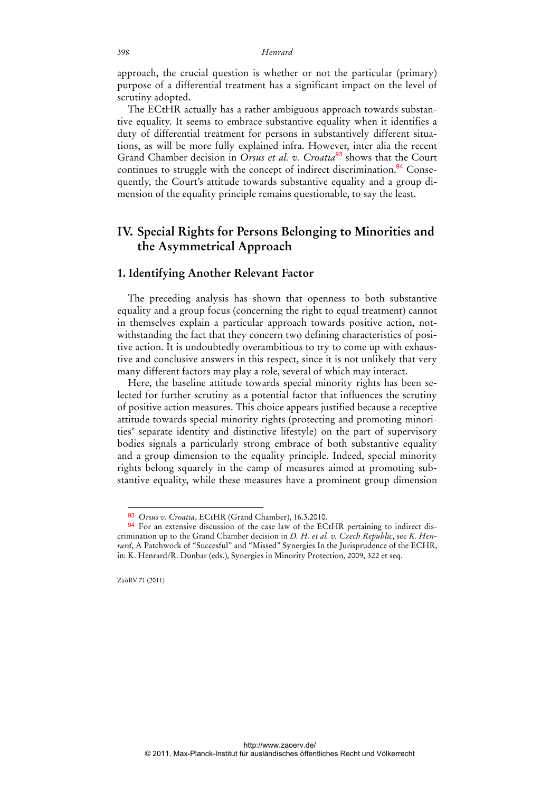approach, the crucial question is whether or not the particular (primary) purpose of a differential treatment has a significant impact on the level of scrutiny adopted.

The ECtHR actually has a rather ambiguous approach towards substantive equality. It seems to embrace substantive equality when it identifies a duty of differential treatment for persons in substantively different situations, as will be more fully explained infra. However, inter alia the recent Grand Chamber decision in *Orsus et al. v. Croatia<sup>93</sup>* shows that the Court continues to struggle with the concept of indirect discrimination.<sup>94</sup> Consequently, the Court's attitude towards substantive equality and a group dimension of the equality principle remains questionable, to say the least.

## **IV. Special Rights for Persons Belonging to Minorities and the Asymmetrical Approach**

### **1. Identifying Another Relevant Factor**

The preceding analysis has shown that openness to both substantive equality and a group focus (concerning the right to equal treatment) cannot in themselves explain a particular approach towards positive action, notwithstanding the fact that they concern two defining characteristics of positive action. It is undoubtedly overambitious to try to come up with exhaustive and conclusive answers in this respect, since it is not unlikely that very many different factors may play a role, several of which may interact.

Here, the baseline attitude towards special minority rights has been selected for further scrutiny as a potential factor that influences the scrutiny of positive action measures. This choice appears justified because a receptive attitude towards special minority rights (protecting and promoting minorities' separate identity and distinctive lifestyle) on the part of supervisory bodies signals a particularly strong embrace of both substantive equality and a group dimension to the equality principle. Indeed, special minority rights belong squarely in the camp of measures aimed at promoting substantive equality, while these measures have a prominent group dimension

<sup>93</sup> *Orsus v. Croatia*, ECtHR (Grand Chamber), 16.3.2010.

<sup>94</sup> For an extensive discussion of the case law of the ECtHR pertaining to indirect discrimination up to the Grand Chamber decision in *D. H. et al. v. Czech Republic*, see *K. Henrard*, A Patchwork of "Succesful" and "Missed" Synergies In the Jurisprudence of the ECHR, in: K. Henrard/R. Dunbar (eds.), Synergies in Minority Protection, 2009, 322 et seq.

ZaöRV 71 (2011)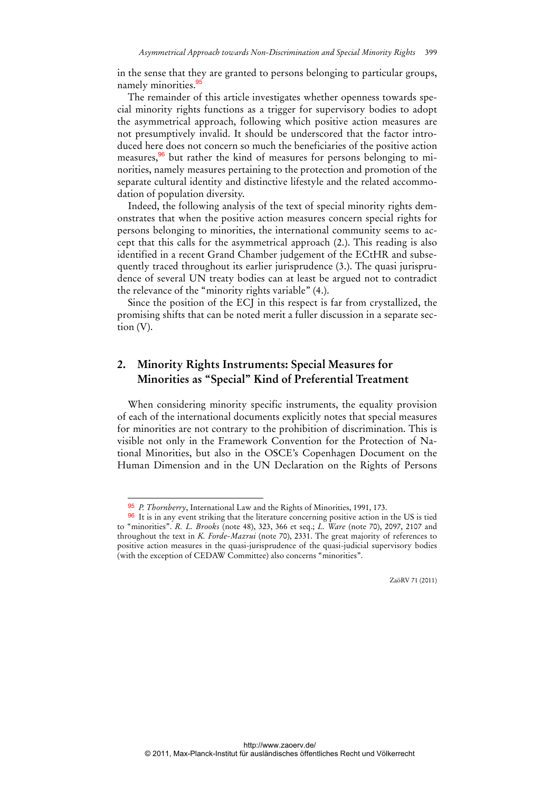in the sense that they are granted to persons belonging to particular groups, namely minorities.<sup>9</sup>

The remainder of this article investigates whether openness towards special minority rights functions as a trigger for supervisory bodies to adopt the asymmetrical approach, following which positive action measures are not presumptively invalid. It should be underscored that the factor introduced here does not concern so much the beneficiaries of the positive action measures,<sup>96</sup> but rather the kind of measures for persons belonging to minorities, namely measures pertaining to the protection and promotion of the separate cultural identity and distinctive lifestyle and the related accommodation of population diversity.

Indeed, the following analysis of the text of special minority rights demonstrates that when the positive action measures concern special rights for persons belonging to minorities, the international community seems to accept that this calls for the asymmetrical approach (2.). This reading is also identified in a recent Grand Chamber judgement of the ECtHR and subsequently traced throughout its earlier jurisprudence (3.). The quasi jurisprudence of several UN treaty bodies can at least be argued not to contradict the relevance of the "minority rights variable" (4.).

Since the position of the ECJ in this respect is far from crystallized, the promising shifts that can be noted merit a fuller discussion in a separate section (V).

## **2. Minority Rights Instruments: Special Measures for Minorities as "Special" Kind of Preferential Treatment**

When considering minority specific instruments, the equality provision of each of the international documents explicitly notes that special measures for minorities are not contrary to the prohibition of discrimination. This is visible not only in the Framework Convention for the Protection of National Minorities, but also in the OSCE's Copenhagen Document on the Human Dimension and in the UN Declaration on the Rights of Persons

 $\ddot{ }$ 

<sup>95</sup> *P. Thornberry*, International Law and the Rights of Minorities, 1991, 173.

<sup>96</sup> It is in any event striking that the literature concerning positive action in the US is tied to "minorities". *R. L. Brooks* (note 48), 323, 366 et seq.; *L. Ware* (note 70), 2097, 2107 and throughout the text in *K. Forde-Mazrui* (note 70), 2331. The great majority of references to positive action measures in the quasi-jurisprudence of the quasi-judicial supervisory bodies (with the exception of CEDAW Committee) also concerns "minorities".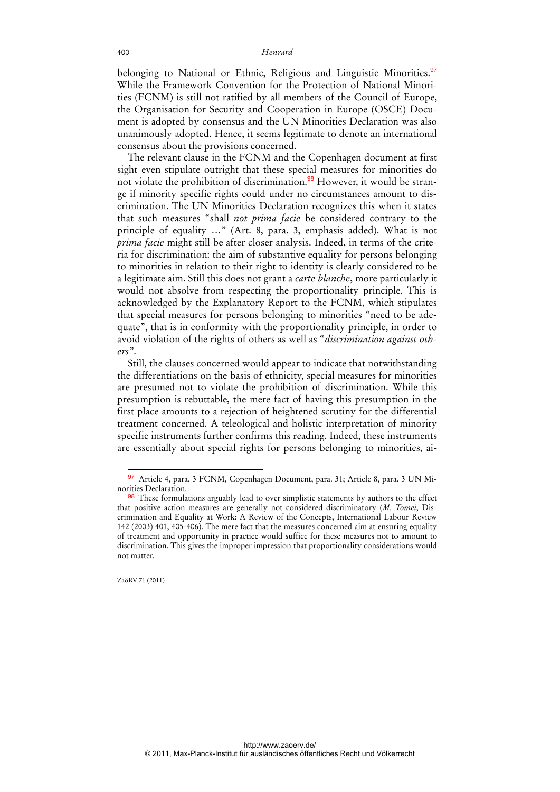belonging to National or Ethnic, Religious and Linguistic Minorities.<sup>97</sup> While the Framework Convention for the Protection of National Minorities (FCNM) is still not ratified by all members of the Council of Europe, the Organisation for Security and Cooperation in Europe (OSCE) Document is adopted by consensus and the UN Minorities Declaration was also unanimously adopted. Hence, it seems legitimate to denote an international consensus about the provisions concerned.

The relevant clause in the FCNM and the Copenhagen document at first sight even stipulate outright that these special measures for minorities do not violate the prohibition of discrimination.<sup>98</sup> However, it would be strange if minority specific rights could under no circumstances amount to discrimination. The UN Minorities Declaration recognizes this when it states that such measures "shall *not prima facie* be considered contrary to the principle of equality …" (Art. 8, para. 3, emphasis added). What is not *prima facie* might still be after closer analysis. Indeed, in terms of the criteria for discrimination: the aim of substantive equality for persons belonging to minorities in relation to their right to identity is clearly considered to be a legitimate aim. Still this does not grant a *carte blanche*, more particularly it would not absolve from respecting the proportionality principle. This is acknowledged by the Explanatory Report to the FCNM, which stipulates that special measures for persons belonging to minorities "need to be adequate", that is in conformity with the proportionality principle, in order to avoid violation of the rights of others as well as "*discrimination against others"*.

Still, the clauses concerned would appear to indicate that notwithstanding the differentiations on the basis of ethnicity, special measures for minorities are presumed not to violate the prohibition of discrimination. While this presumption is rebuttable, the mere fact of having this presumption in the first place amounts to a rejection of heightened scrutiny for the differential treatment concerned. A teleological and holistic interpretation of minority specific instruments further confirms this reading. Indeed, these instruments are essentially about special rights for persons belonging to minorities, ai-

 $\ddot{ }$ 

<sup>97</sup> Article 4, para. 3 FCNM, Copenhagen Document, para. 31; Article 8, para. 3 UN Minorities Declaration.

<sup>98</sup> These formulations arguably lead to over simplistic statements by authors to the effect that positive action measures are generally not considered discriminatory (*M. Tomei*, Discrimination and Equality at Work: A Review of the Concepts, International Labour Review 142 (2003) 401, 405-406). The mere fact that the measures concerned aim at ensuring equality of treatment and opportunity in practice would suffice for these measures not to amount to discrimination. This gives the improper impression that proportionality considerations would not matter.

ZaöRV 71 (2011)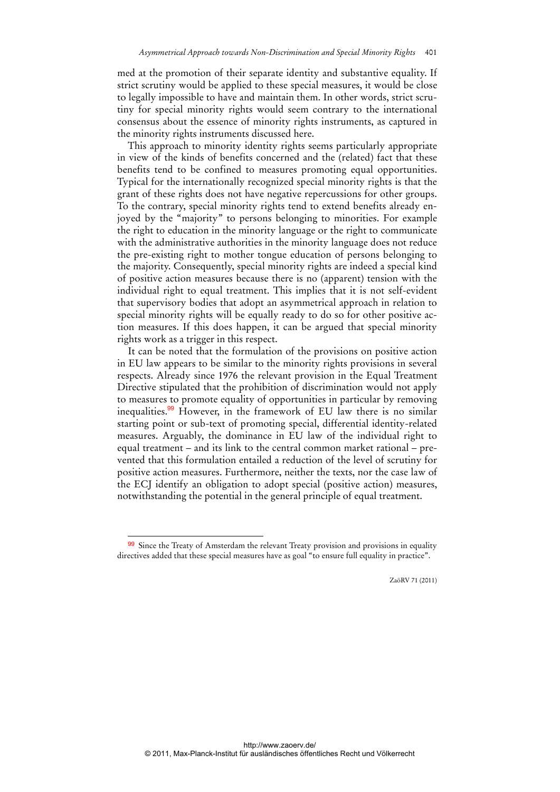med at the promotion of their separate identity and substantive equality. If strict scrutiny would be applied to these special measures, it would be close to legally impossible to have and maintain them. In other words, strict scrutiny for special minority rights would seem contrary to the international consensus about the essence of minority rights instruments, as captured in the minority rights instruments discussed here.

This approach to minority identity rights seems particularly appropriate in view of the kinds of benefits concerned and the (related) fact that these benefits tend to be confined to measures promoting equal opportunities. Typical for the internationally recognized special minority rights is that the grant of these rights does not have negative repercussions for other groups. To the contrary, special minority rights tend to extend benefits already enjoyed by the "majority" to persons belonging to minorities. For example the right to education in the minority language or the right to communicate with the administrative authorities in the minority language does not reduce the pre-existing right to mother tongue education of persons belonging to the majority. Consequently, special minority rights are indeed a special kind of positive action measures because there is no (apparent) tension with the individual right to equal treatment. This implies that it is not self-evident that supervisory bodies that adopt an asymmetrical approach in relation to special minority rights will be equally ready to do so for other positive action measures. If this does happen, it can be argued that special minority rights work as a trigger in this respect.

It can be noted that the formulation of the provisions on positive action in EU law appears to be similar to the minority rights provisions in several respects. Already since 1976 the relevant provision in the Equal Treatment Directive stipulated that the prohibition of discrimination would not apply to measures to promote equality of opportunities in particular by removing inequalities.<sup>99</sup> However, in the framework of EU law there is no similar starting point or sub-text of promoting special, differential identity-related measures. Arguably, the dominance in EU law of the individual right to equal treatment – and its link to the central common market rational – prevented that this formulation entailed a reduction of the level of scrutiny for positive action measures. Furthermore, neither the texts, nor the case law of the ECJ identify an obligation to adopt special (positive action) measures, notwithstanding the potential in the general principle of equal treatment.

 $\overline{a}$ 

<sup>99</sup> Since the Treaty of Amsterdam the relevant Treaty provision and provisions in equality directives added that these special measures have as goal "to ensure full equality in practice".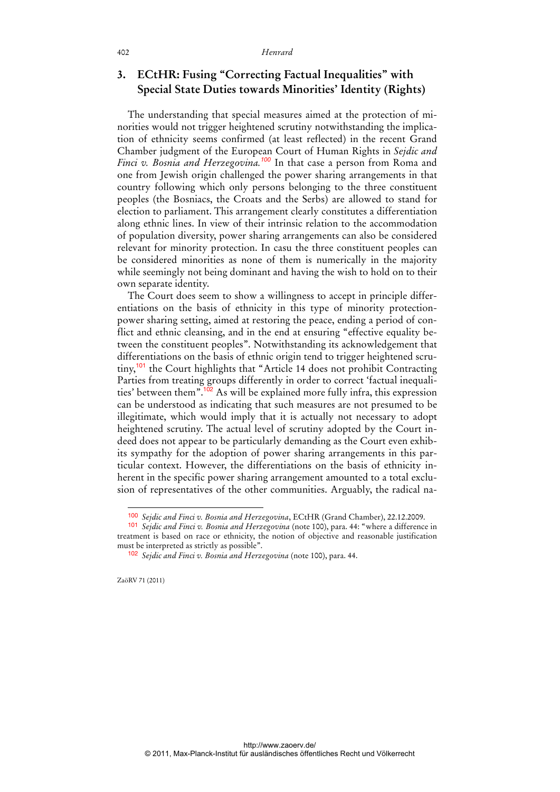## **3. ECtHR: Fusing "Correcting Factual Inequalities" with Special State Duties towards Minorities' Identity (Rights)**

The understanding that special measures aimed at the protection of minorities would not trigger heightened scrutiny notwithstanding the implication of ethnicity seems confirmed (at least reflected) in the recent Grand Chamber judgment of the European Court of Human Rights in *Sejdic and Finci v. Bosnia and Herzegovina.<sup>100</sup>* In that case a person from Roma and one from Jewish origin challenged the power sharing arrangements in that country following which only persons belonging to the three constituent peoples (the Bosniacs, the Croats and the Serbs) are allowed to stand for election to parliament. This arrangement clearly constitutes a differentiation along ethnic lines. In view of their intrinsic relation to the accommodation of population diversity, power sharing arrangements can also be considered relevant for minority protection. In casu the three constituent peoples can be considered minorities as none of them is numerically in the majority while seemingly not being dominant and having the wish to hold on to their own separate identity.

The Court does seem to show a willingness to accept in principle differentiations on the basis of ethnicity in this type of minority protectionpower sharing setting, aimed at restoring the peace, ending a period of conflict and ethnic cleansing, and in the end at ensuring "effective equality between the constituent peoples". Notwithstanding its acknowledgement that differentiations on the basis of ethnic origin tend to trigger heightened scrutiny,<sup>101</sup> the Court highlights that "Article 14 does not prohibit Contracting Parties from treating groups differently in order to correct 'factual inequalities' between them".<sup>102</sup> As will be explained more fully infra, this expression can be understood as indicating that such measures are not presumed to be illegitimate, which would imply that it is actually not necessary to adopt heightened scrutiny. The actual level of scrutiny adopted by the Court indeed does not appear to be particularly demanding as the Court even exhibits sympathy for the adoption of power sharing arrangements in this particular context. However, the differentiations on the basis of ethnicity inherent in the specific power sharing arrangement amounted to a total exclusion of representatives of the other communities. Arguably, the radical na-

<sup>100</sup> *Sejdic and Finci v. Bosnia and Herzegovina*, ECtHR (Grand Chamber), 22.12.2009.

<sup>101</sup> *Sejdic and Finci v. Bosnia and Herzegovina* (note 100), para. 44: "where a difference in treatment is based on race or ethnicity, the notion of objective and reasonable justification must be interpreted as strictly as possible".

<sup>102</sup> *Sejdic and Finci v. Bosnia and Herzegovina* (note 100), para. 44.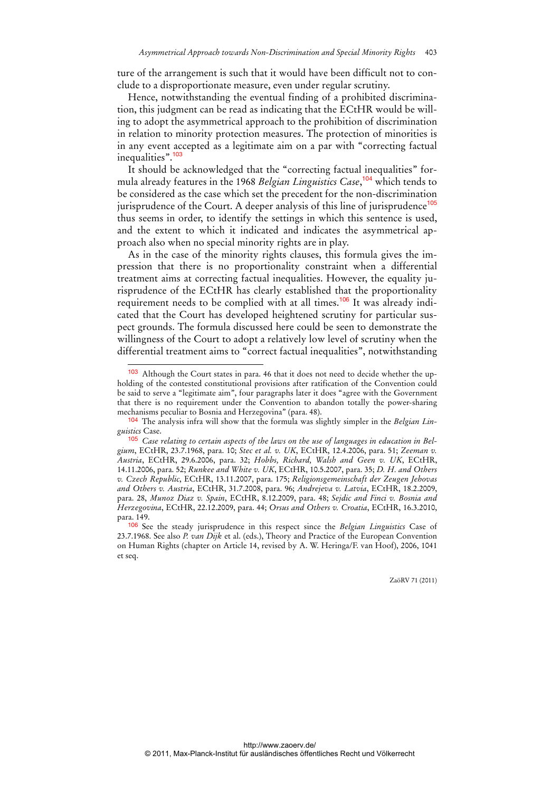ture of the arrangement is such that it would have been difficult not to conclude to a disproportionate measure, even under regular scrutiny.

Hence, notwithstanding the eventual finding of a prohibited discrimination, this judgment can be read as indicating that the ECtHR would be willing to adopt the asymmetrical approach to the prohibition of discrimination in relation to minority protection measures. The protection of minorities is in any event accepted as a legitimate aim on a par with "correcting factual inequalities".<sup>103</sup>

It should be acknowledged that the "correcting factual inequalities" formula already features in the 1968 *Belgian Linguistics Case*, <sup>104</sup> which tends to be considered as the case which set the precedent for the non-discrimination jurisprudence of the Court. A deeper analysis of this line of jurisprudence<sup>105</sup> thus seems in order, to identify the settings in which this sentence is used, and the extent to which it indicated and indicates the asymmetrical approach also when no special minority rights are in play.

As in the case of the minority rights clauses, this formula gives the impression that there is no proportionality constraint when a differential treatment aims at correcting factual inequalities. However, the equality jurisprudence of the ECtHR has clearly established that the proportionality requirement needs to be complied with at all times.<sup>106</sup> It was already indicated that the Court has developed heightened scrutiny for particular suspect grounds. The formula discussed here could be seen to demonstrate the willingness of the Court to adopt a relatively low level of scrutiny when the differential treatment aims to "correct factual inequalities", notwithstanding

 $\overline{a}$ 

<sup>103</sup> Although the Court states in para. 46 that it does not need to decide whether the upholding of the contested constitutional provisions after ratification of the Convention could be said to serve a "legitimate aim", four paragraphs later it does "agree with the Government that there is no requirement under the Convention to abandon totally the power-sharing mechanisms peculiar to Bosnia and Herzegovina" (para. 48).

<sup>104</sup> The analysis infra will show that the formula was slightly simpler in the *Belgian Linguistics* Case.

<sup>105</sup> *Case relating to certain aspects of the laws on the use of languages in education in Belgium*, ECtHR, 23.7.1968, para. 10; *Stec et al. v. UK*, ECtHR, 12.4.2006, para. 51; *Zeeman v. Austria*, ECtHR, 29.6.2006, para. 32; *Hobbs, Richard, Walsh and Geen v. UK*, ECtHR, 14.11.2006, para. 52; *Runkee and White v. UK*, ECtHR, 10.5.2007, para. 35; *D. H. and Others v. Czech Republic*, ECtHR, 13.11.2007, para. 175; *Religionsgemeinschaft der Zeugen Jehovas and Others v. Austria*, ECtHR, 31.7.2008, para. 96; *Andrejeva v. Latvia*, ECtHR, 18.2.2009, para. 28, *Munoz Diaz v. Spain*, ECtHR, 8.12.2009, para. 48; *Sejdic and Finci v. Bosnia and Herzegovina*, ECtHR, 22.12.2009, para. 44; *Orsus and Others v. Croatia*, ECtHR, 16.3.2010, para. 149.

<sup>106</sup> See the steady jurisprudence in this respect since the *Belgian Linguistics* Case of 23.7.1968. See also *P. van Dijk* et al. (eds.), Theory and Practice of the European Convention on Human Rights (chapter on Article 14, revised by A. W. Heringa/F. van Hoof), 2006, 1041 et seq.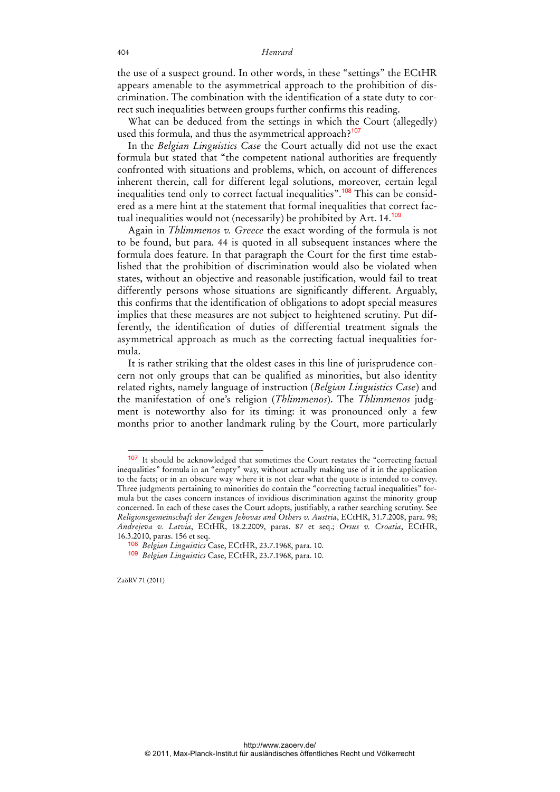the use of a suspect ground. In other words, in these "settings" the ECtHR appears amenable to the asymmetrical approach to the prohibition of discrimination. The combination with the identification of a state duty to correct such inequalities between groups further confirms this reading.

What can be deduced from the settings in which the Court (allegedly) used this formula, and thus the asymmetrical approach?<sup>107</sup>

In the *Belgian Linguistics Case* the Court actually did not use the exact formula but stated that "the competent national authorities are frequently confronted with situations and problems, which, on account of differences inherent therein, call for different legal solutions, moreover, certain legal inequalities tend only to correct factual inequalities".<sup>108</sup> This can be considered as a mere hint at the statement that formal inequalities that correct factual inequalities would not (necessarily) be prohibited by Art. 14.<sup>109</sup>

Again in *Thlimmenos v. Greece* the exact wording of the formula is not to be found, but para. 44 is quoted in all subsequent instances where the formula does feature. In that paragraph the Court for the first time established that the prohibition of discrimination would also be violated when states, without an objective and reasonable justification, would fail to treat differently persons whose situations are significantly different. Arguably, this confirms that the identification of obligations to adopt special measures implies that these measures are not subject to heightened scrutiny. Put differently, the identification of duties of differential treatment signals the asymmetrical approach as much as the correcting factual inequalities formula.

It is rather striking that the oldest cases in this line of jurisprudence concern not only groups that can be qualified as minorities, but also identity related rights, namely language of instruction (*Belgian Linguistics Case*) and the manifestation of one's religion (*Thlimmenos*). The *Thlimmenos* judgment is noteworthy also for its timing: it was pronounced only a few months prior to another landmark ruling by the Court, more particularly

<sup>&</sup>lt;sup>107</sup> It should be acknowledged that sometimes the Court restates the "correcting factual inequalities" formula in an "empty" way, without actually making use of it in the application to the facts; or in an obscure way where it is not clear what the quote is intended to convey. Three judgments pertaining to minorities do contain the "correcting factual inequalities" formula but the cases concern instances of invidious discrimination against the minority group concerned. In each of these cases the Court adopts, justifiably, a rather searching scrutiny. See *Religionsgemeinschaft der Zeugen Jehovas and Others v. Austria*, ECtHR, 31.7.2008, para. 98; *Andrejeva v. Latvia*, ECtHR, 18.2.2009, paras. 87 et seq.; *Orsus v. Croatia*, ECtHR, 16.3.2010, paras. 156 et seq.

<sup>108</sup> *Belgian Linguistics* Case, ECtHR, 23.7.1968, para. 10.

<sup>109</sup> *Belgian Linguistics* Case, ECtHR, 23.7.1968, para. 10.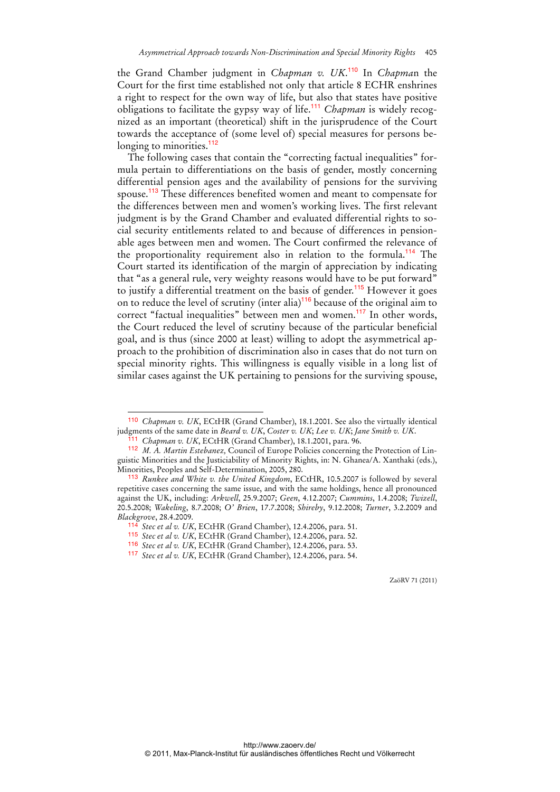the Grand Chamber judgment in *Chapman v. UK*. <sup>110</sup> In *Chapma*n the Court for the first time established not only that article 8 ECHR enshrines a right to respect for the own way of life, but also that states have positive obligations to facilitate the gypsy way of life.<sup>111</sup> *Chapman* is widely recognized as an important (theoretical) shift in the jurisprudence of the Court towards the acceptance of (some level of) special measures for persons belonging to minorities.<sup>112</sup>

The following cases that contain the "correcting factual inequalities" formula pertain to differentiations on the basis of gender, mostly concerning differential pension ages and the availability of pensions for the surviving spouse.<sup>113</sup> These differences benefited women and meant to compensate for the differences between men and women's working lives. The first relevant judgment is by the Grand Chamber and evaluated differential rights to social security entitlements related to and because of differences in pensionable ages between men and women. The Court confirmed the relevance of the proportionality requirement also in relation to the formula.<sup>114</sup> The Court started its identification of the margin of appreciation by indicating that "as a general rule, very weighty reasons would have to be put forward" to justify a differential treatment on the basis of gender.<sup>115</sup> However it goes on to reduce the level of scrutiny (inter alia)<sup>116</sup> because of the original aim to correct "factual inequalities" between men and women.<sup>117</sup> In other words, the Court reduced the level of scrutiny because of the particular beneficial goal, and is thus (since 2000 at least) willing to adopt the asymmetrical approach to the prohibition of discrimination also in cases that do not turn on special minority rights. This willingness is equally visible in a long list of similar cases against the UK pertaining to pensions for the surviving spouse,

 $\overline{a}$ 

<sup>110</sup> *Chapman v. UK*, ECtHR (Grand Chamber), 18.1.2001. See also the virtually identical judgments of the same date in *Beard v. UK*, *Coster v. UK*; *Lee v. UK*; *Jane Smith v. UK*.

<sup>111</sup> *Chapman v. UK*, ECtHR (Grand Chamber), 18.1.2001, para. 96.

<sup>112</sup> *M. A. Martin Estebanez,* Council of Europe Policies concerning the Protection of Linguistic Minorities and the Justiciability of Minority Rights, in: N. Ghanea/A. Xanthaki (eds.), Minorities, Peoples and Self-Determination, 2005, 280.

<sup>113</sup> *Runkee and White v. the United Kingdom*, ECtHR, 10.5.2007 is followed by several repetitive cases concerning the same issue, and with the same holdings, hence all pronounced against the UK, including: *Arkwell*, 25.9.2007; *Geen*, 4.12.2007; *Cummins*, 1.4.2008; *Twizell*, 20.5.2008; *Wakeling*, 8.7.2008; *O' Brien*, 17.7.2008; *Shireby*, 9.12.2008; *Turner*, 3.2.2009 and *Blackgrove*, 28.4.2009.

Stec et al v. UK, ECtHR (Grand Chamber), 12.4.2006, para. 51.

<sup>115</sup> *Stec et al v. UK*, ECtHR (Grand Chamber), 12.4.2006, para. 52.

<sup>116</sup> *Stec et al v. UK*, ECtHR (Grand Chamber), 12.4.2006, para. 53.

<sup>117</sup> *Stec et al v. UK*, ECtHR (Grand Chamber), 12.4.2006, para. 54.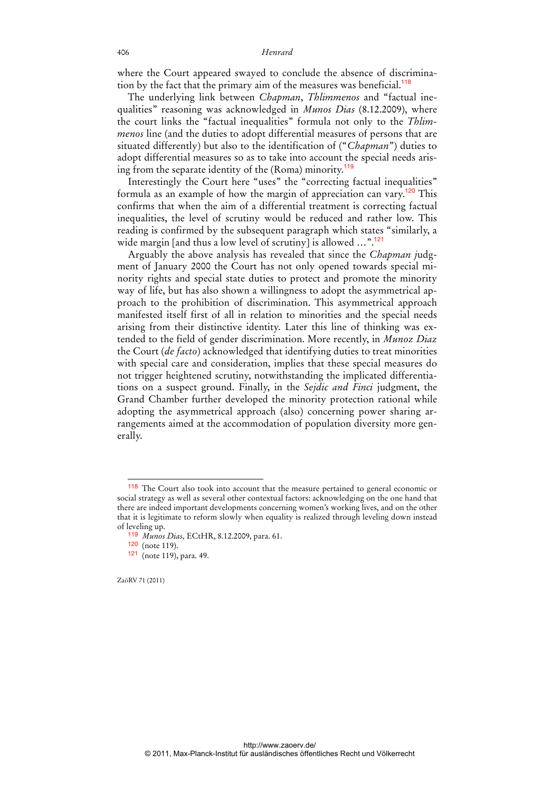where the Court appeared swayed to conclude the absence of discrimination by the fact that the primary aim of the measures was beneficial.<sup>118</sup>

The underlying link between *Chapman*, *Thlimmenos* and "factual inequalities" reasoning was acknowledged in *Munos Dias* (8.12.2009), where the court links the "factual inequalities" formula not only to the *Thlimmenos* line (and the duties to adopt differential measures of persons that are situated differently) but also to the identification of ("*Chapman*") duties to adopt differential measures so as to take into account the special needs arising from the separate identity of the (Roma) minority.<sup>119</sup>

Interestingly the Court here "uses" the "correcting factual inequalities" formula as an example of how the margin of appreciation can vary.<sup>120</sup> This confirms that when the aim of a differential treatment is correcting factual inequalities, the level of scrutiny would be reduced and rather low. This reading is confirmed by the subsequent paragraph which states "similarly, a wide margin [and thus a low level of scrutiny] is allowed  $\ldots$ ".<sup>121</sup>

Arguably the above analysis has revealed that since the *Chapman j*udgment of January 2000 the Court has not only opened towards special minority rights and special state duties to protect and promote the minority way of life, but has also shown a willingness to adopt the asymmetrical approach to the prohibition of discrimination. This asymmetrical approach manifested itself first of all in relation to minorities and the special needs arising from their distinctive identity. Later this line of thinking was extended to the field of gender discrimination. More recently, in *Munoz Diaz* the Court (*de facto*) acknowledged that identifying duties to treat minorities with special care and consideration, implies that these special measures do not trigger heightened scrutiny, notwithstanding the implicated differentiations on a suspect ground. Finally, in the *Sejdic and Finci* judgment, the Grand Chamber further developed the minority protection rational while adopting the asymmetrical approach (also) concerning power sharing arrangements aimed at the accommodation of population diversity more generally.

ZaöRV 71 (2011)

 $\ddot{ }$ 

<sup>&</sup>lt;sup>118</sup> The Court also took into account that the measure pertained to general economic or social strategy as well as several other contextual factors: acknowledging on the one hand that there are indeed important developments concerning women's working lives, and on the other that it is legitimate to reform slowly when equality is realized through leveling down instead of leveling up.

<sup>119</sup> *Munos Dias*, ECtHR, 8.12.2009, para. 61.

<sup>120</sup> (note 119).

<sup>121</sup> (note 119), para. 49.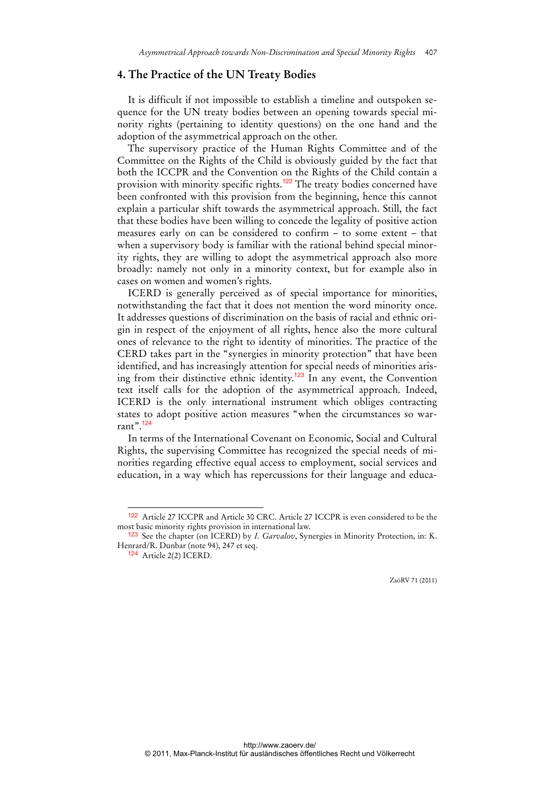### **4. The Practice of the UN Treaty Bodies**

It is difficult if not impossible to establish a timeline and outspoken sequence for the UN treaty bodies between an opening towards special minority rights (pertaining to identity questions) on the one hand and the adoption of the asymmetrical approach on the other.

The supervisory practice of the Human Rights Committee and of the Committee on the Rights of the Child is obviously guided by the fact that both the ICCPR and the Convention on the Rights of the Child contain a provision with minority specific rights.<sup>122</sup> The treaty bodies concerned have been confronted with this provision from the beginning, hence this cannot explain a particular shift towards the asymmetrical approach. Still, the fact that these bodies have been willing to concede the legality of positive action measures early on can be considered to confirm – to some extent – that when a supervisory body is familiar with the rational behind special minority rights, they are willing to adopt the asymmetrical approach also more broadly: namely not only in a minority context, but for example also in cases on women and women's rights.

ICERD is generally perceived as of special importance for minorities, notwithstanding the fact that it does not mention the word minority once. It addresses questions of discrimination on the basis of racial and ethnic origin in respect of the enjoyment of all rights, hence also the more cultural ones of relevance to the right to identity of minorities. The practice of the CERD takes part in the "synergies in minority protection" that have been identified, and has increasingly attention for special needs of minorities arising from their distinctive ethnic identity.<sup>123</sup> In any event, the Convention text itself calls for the adoption of the asymmetrical approach. Indeed, ICERD is the only international instrument which obliges contracting states to adopt positive action measures "when the circumstances so warrant".<sup>124</sup>

In terms of the International Covenant on Economic, Social and Cultural Rights, the supervising Committee has recognized the special needs of minorities regarding effective equal access to employment, social services and education, in a way which has repercussions for their language and educa-

<sup>122</sup> Article 27 ICCPR and Article 30 CRC. Article 27 ICCPR is even considered to be the most basic minority rights provision in international law.

<sup>123</sup> See the chapter (on ICERD) by *I. Garvalov*, Synergies in Minority Protection, in: K. Henrard/R. Dunbar (note 94), 247 et seq.

<sup>124</sup> Article 2(2) ICERD.

ZaöRV 71 (2011)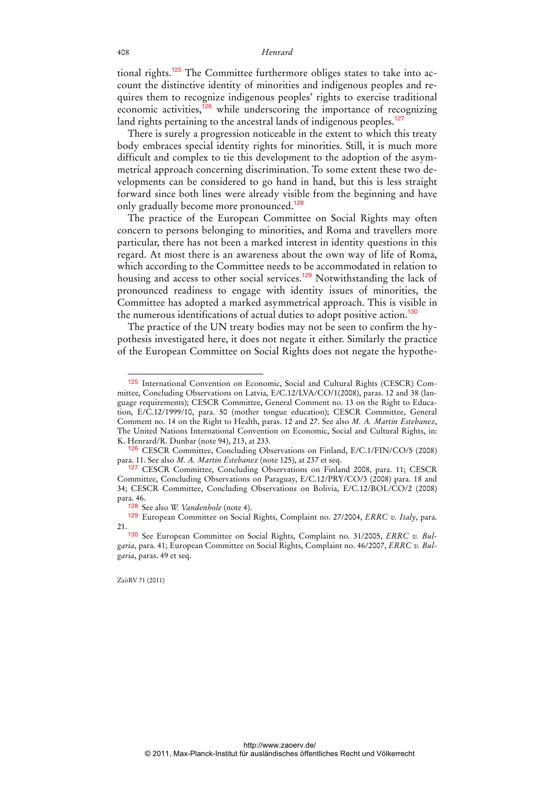tional rights.<sup>125</sup> The Committee furthermore obliges states to take into account the distinctive identity of minorities and indigenous peoples and requires them to recognize indigenous peoples' rights to exercise traditional economic activities, $^{126}$  while underscoring the importance of recognizing land rights pertaining to the ancestral lands of indigenous peoples.<sup>127</sup>

There is surely a progression noticeable in the extent to which this treaty body embraces special identity rights for minorities. Still, it is much more difficult and complex to tie this development to the adoption of the asymmetrical approach concerning discrimination. To some extent these two developments can be considered to go hand in hand, but this is less straight forward since both lines were already visible from the beginning and have only gradually become more pronounced.<sup>128</sup>

The practice of the European Committee on Social Rights may often concern to persons belonging to minorities, and Roma and travellers more particular, there has not been a marked interest in identity questions in this regard. At most there is an awareness about the own way of life of Roma, which according to the Committee needs to be accommodated in relation to housing and access to other social services.<sup>129</sup> Notwithstanding the lack of pronounced readiness to engage with identity issues of minorities, the Committee has adopted a marked asymmetrical approach. This is visible in the numerous identifications of actual duties to adopt positive action.<sup>130</sup>

The practice of the UN treaty bodies may not be seen to confirm the hypothesis investigated here, it does not negate it either. Similarly the practice of the European Committee on Social Rights does not negate the hypothe-

<sup>125</sup> International Convention on Economic, Social and Cultural Rights (CESCR) Committee, Concluding Observations on Latvia, E/C.12/LVA/CO/1(2008), paras. 12 and 38 (language requirements); CESCR Committee, General Comment no. 13 on the Right to Education, E/C.12/1999/10, para. 50 (mother tongue education); CESCR Committee, General Comment no. 14 on the Right to Health, paras. 12 and 27. See also *M. A. Martin Estebanez*, The United Nations International Convention on Economic, Social and Cultural Rights, in: K. Henrard/R. Dunbar (note 94), 213, at 233.

<sup>126</sup> CESCR Committee, Concluding Observations on Finland, E/C.1/FIN/CO/5 (2008) para. 11. See also *M. A. Martin Estebanez* (note 125), at 237 et seq.

<sup>127</sup> CESCR Committee, Concluding Observations on Finland 2008, para. 11; CESCR Committee, Concluding Observations on Paraguay, E/C.12/PRY/CO/3 (2008) para. 18 and 34; CESCR Committee, Concluding Observations on Bolivia, E/C.12/BOL/CO/2 (2008) para. 46.

<sup>128</sup> See also *W. Vandenhole* (note 4).

<sup>129</sup> European Committee on Social Rights, Complaint no. 27/2004, *ERRC v. Italy*, para. 21.

<sup>130</sup> See European Committee on Social Rights, Complaint no. 31/2005, *ERRC v. Bulgaria*, para. 41; European Committee on Social Rights, Complaint no. 46/2007, *ERRC v. Bulgaria*, paras. 49 et seq.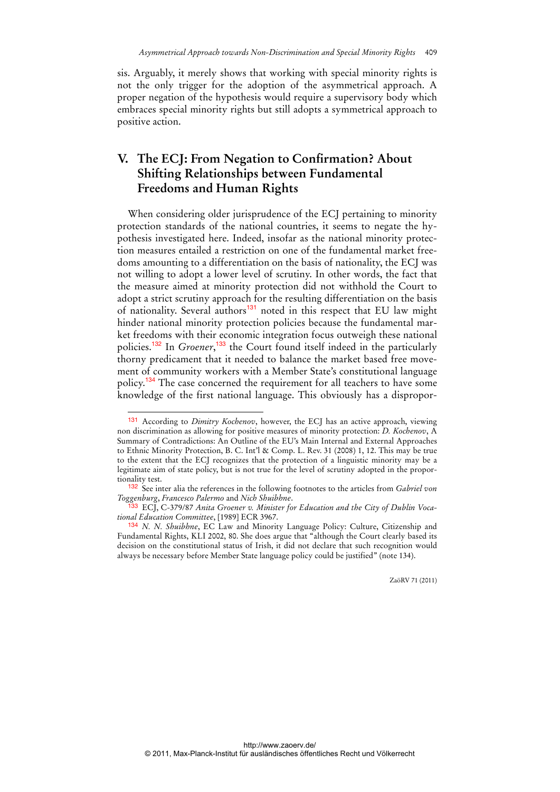sis. Arguably, it merely shows that working with special minority rights is not the only trigger for the adoption of the asymmetrical approach. A proper negation of the hypothesis would require a supervisory body which embraces special minority rights but still adopts a symmetrical approach to positive action.

## **V. The ECJ: From Negation to Confirmation? About Shifting Relationships between Fundamental Freedoms and Human Rights**

When considering older jurisprudence of the ECJ pertaining to minority protection standards of the national countries, it seems to negate the hypothesis investigated here. Indeed, insofar as the national minority protection measures entailed a restriction on one of the fundamental market freedoms amounting to a differentiation on the basis of nationality, the ECJ was not willing to adopt a lower level of scrutiny. In other words, the fact that the measure aimed at minority protection did not withhold the Court to adopt a strict scrutiny approach for the resulting differentiation on the basis of nationality. Several authors<sup>131</sup> noted in this respect that EU law might hinder national minority protection policies because the fundamental market freedoms with their economic integration focus outweigh these national policies.<sup>132</sup> In *Groener*, <sup>133</sup> the Court found itself indeed in the particularly thorny predicament that it needed to balance the market based free movement of community workers with a Member State's constitutional language policy.<sup>134</sup> The case concerned the requirement for all teachers to have some knowledge of the first national language. This obviously has a dispropor-

 $\overline{a}$ 

<sup>131</sup> According to *Dimitry Kochenov*, however, the ECJ has an active approach, viewing non discrimination as allowing for positive measures of minority protection: *D. Kochenov*, A Summary of Contradictions: An Outline of the EU's Main Internal and External Approaches to Ethnic Minority Protection, B. C. Int'l & Comp. L. Rev. 31 (2008) 1, 12. This may be true to the extent that the ECJ recognizes that the protection of a linguistic minority may be a legitimate aim of state policy, but is not true for the level of scrutiny adopted in the proportionality test.

<sup>132</sup> See inter alia the references in the following footnotes to the articles from *Gabriel von Toggenburg*, *Francesco Palermo* and *Nich Shuibhne*.

<sup>&</sup>lt;sup>33</sup> ECJ, C-379/87 Anita Groener v. Minister for Education and the City of Dublin Voca*tional Education Committee*, [1989] ECR 3967.

<sup>134</sup> *N. N. Shuibhne*, EC Law and Minority Language Policy: Culture, Citizenship and Fundamental Rights, KLI 2002, 80. She does argue that "although the Court clearly based its decision on the constitutional status of Irish, it did not declare that such recognition would always be necessary before Member State language policy could be justified" (note 134).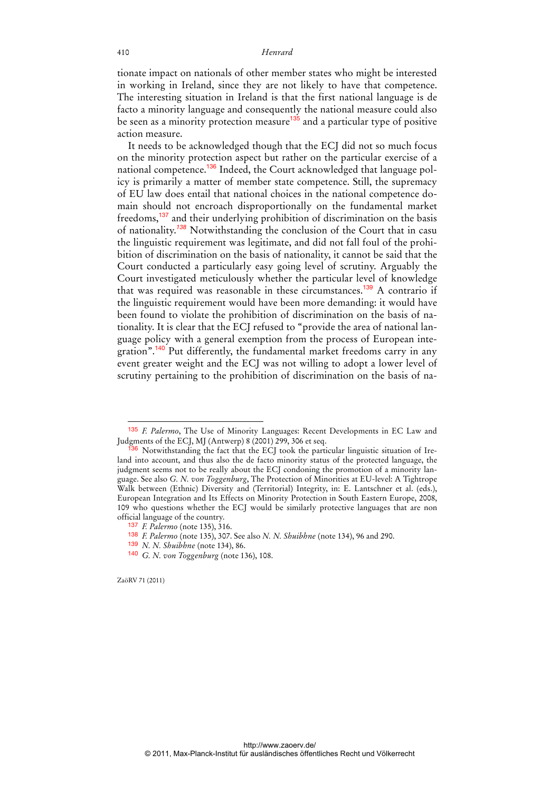tionate impact on nationals of other member states who might be interested in working in Ireland, since they are not likely to have that competence. The interesting situation in Ireland is that the first national language is de facto a minority language and consequently the national measure could also be seen as a minority protection measure<sup>135</sup> and a particular type of positive action measure.

It needs to be acknowledged though that the ECJ did not so much focus on the minority protection aspect but rather on the particular exercise of a national competence.136 Indeed, the Court acknowledged that language policy is primarily a matter of member state competence. Still, the supremacy of EU law does entail that national choices in the national competence domain should not encroach disproportionally on the fundamental market freedoms,<sup>137</sup> and their underlying prohibition of discrimination on the basis of nationality.*<sup>138</sup>* Notwithstanding the conclusion of the Court that in casu the linguistic requirement was legitimate, and did not fall foul of the prohibition of discrimination on the basis of nationality, it cannot be said that the Court conducted a particularly easy going level of scrutiny. Arguably the Court investigated meticulously whether the particular level of knowledge that was required was reasonable in these circumstances.<sup>139</sup> A contrario if the linguistic requirement would have been more demanding: it would have been found to violate the prohibition of discrimination on the basis of nationality. It is clear that the ECJ refused to "provide the area of national language policy with a general exemption from the process of European integration".<sup>140</sup> Put differently, the fundamental market freedoms carry in any event greater weight and the ECJ was not willing to adopt a lower level of scrutiny pertaining to the prohibition of discrimination on the basis of na-

<sup>135</sup> *F. Palermo*, The Use of Minority Languages: Recent Developments in EC Law and Judgments of the ECJ, MJ (Antwerp) 8 (2001) 299, 306 et seq.

<sup>136</sup> Notwithstanding the fact that the ECJ took the particular linguistic situation of Ireland into account, and thus also the de facto minority status of the protected language, the judgment seems not to be really about the ECJ condoning the promotion of a minority language. See also *G. N. von Toggenburg*, The Protection of Minorities at EU-level: A Tightrope Walk between (Ethnic) Diversity and (Territorial) Integrity, in: E. Lantschner et al. (eds.), European Integration and Its Effects on Minority Protection in South Eastern Europe, 2008, 109 who questions whether the ECJ would be similarly protective languages that are non official language of the country.

<sup>137</sup> *F. Palermo* (note 135), 316.

<sup>138</sup> *F. Palermo* (note 135), 307. See also *N. N. Shuibhne* (note 134), 96 and 290.

<sup>139</sup> *N. N. Shuibhne* (note 134), 86.

<sup>140</sup> *G. N. von Toggenburg* (note 136), 108.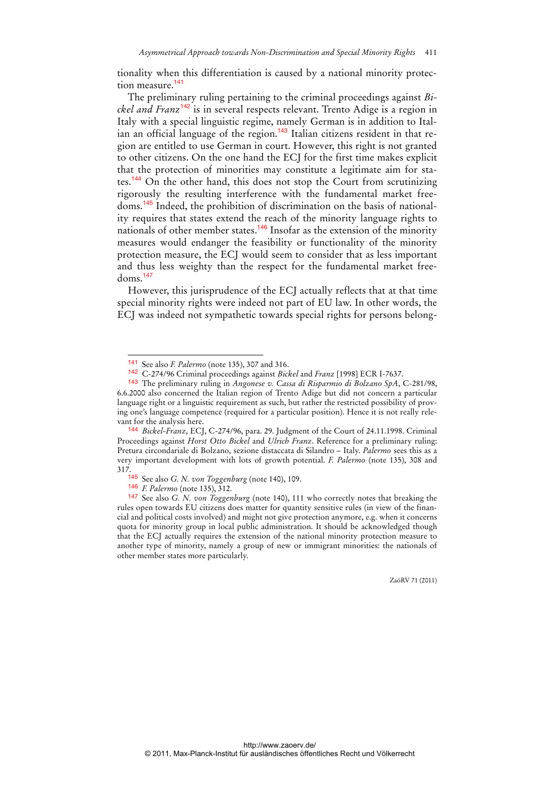tionality when this differentiation is caused by a national minority protection measure.<sup>141</sup>

The preliminary ruling pertaining to the criminal proceedings against *Bickel and Franz*<sup>142</sup> is in several respects relevant. Trento Adige is a region in Italy with a special linguistic regime, namely German is in addition to Italian an official language of the region.<sup>143</sup> Italian citizens resident in that region are entitled to use German in court. However, this right is not granted to other citizens. On the one hand the ECJ for the first time makes explicit that the protection of minorities may constitute a legitimate aim for states.<sup>144</sup> On the other hand, this does not stop the Court from scrutinizing rigorously the resulting interference with the fundamental market freedoms.145 Indeed, the prohibition of discrimination on the basis of nationality requires that states extend the reach of the minority language rights to nationals of other member states.<sup>146</sup> Insofar as the extension of the minority measures would endanger the feasibility or functionality of the minority protection measure, the ECJ would seem to consider that as less important and thus less weighty than the respect for the fundamental market free $doms.<sup>147</sup>$ 

However, this jurisprudence of the ECJ actually reflects that at that time special minority rights were indeed not part of EU law. In other words, the ECJ was indeed not sympathetic towards special rights for persons belong-

 $\ddot{ }$ 

<sup>141</sup> See also *F. Palermo* (note 135), 307 and 316.

<sup>142</sup> C-274/96 Criminal proceedings against *Bickel* and *Franz* [1998] ECR I-7637.

<sup>143</sup> The preliminary ruling in *Angonese v. Cassa di Risparmio di Bolzano SpA*, C-281/98, 6.6.2000 also concerned the Italian region of Trento Adige but did not concern a particular language right or a linguistic requirement as such, but rather the restricted possibility of proving one's language competence (required for a particular position). Hence it is not really relevant for the analysis here.

<sup>144</sup> *Bickel-Franz*, ECJ, C-274/96, para. 29. Judgment of the Court of 24.11.1998. Criminal Proceedings against *Horst Otto Bickel* and *Ulrich Franz*. Reference for a preliminary ruling: Pretura circondariale di Bolzano, sezione distaccata di Silandro – Italy. *Palermo* sees this as a very important development with lots of growth potential. *F. Palermo* (note 135), 308 and 317.

<sup>145</sup> See also *G. N. von Toggenburg* (note 140), 109.

<sup>146</sup> *F. Palermo* (note 135), 312.

<sup>147</sup> See also *G. N. von Toggenburg* (note 140), 111 who correctly notes that breaking the rules open towards EU citizens does matter for quantity sensitive rules (in view of the financial and political costs involved) and might not give protection anymore, e.g. when it concerns quota for minority group in local public administration. It should be acknowledged though that the ECJ actually requires the extension of the national minority protection measure to another type of minority, namely a group of new or immigrant minorities: the nationals of other member states more particularly.

ZaöRV 71 (2011)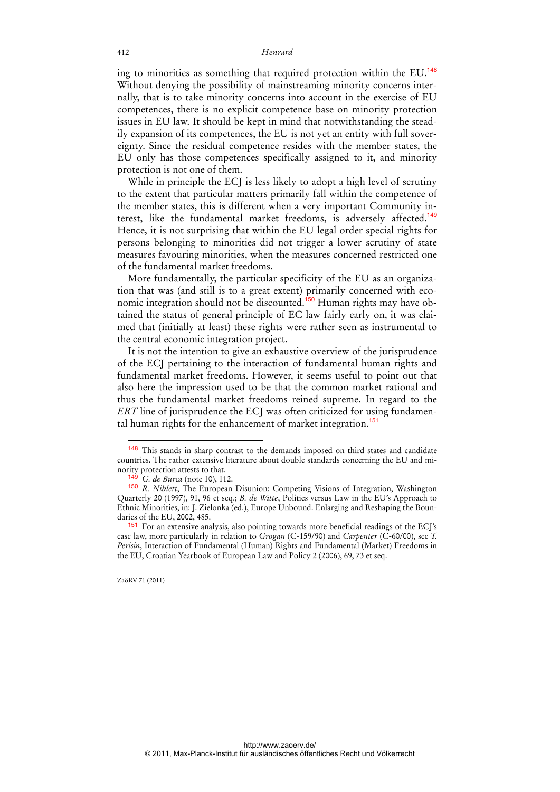ing to minorities as something that required protection within the EU.<sup>148</sup> Without denying the possibility of mainstreaming minority concerns internally, that is to take minority concerns into account in the exercise of EU competences, there is no explicit competence base on minority protection issues in EU law. It should be kept in mind that notwithstanding the steadily expansion of its competences, the EU is not yet an entity with full sovereignty. Since the residual competence resides with the member states, the EU only has those competences specifically assigned to it, and minority protection is not one of them.

While in principle the ECJ is less likely to adopt a high level of scrutiny to the extent that particular matters primarily fall within the competence of the member states, this is different when a very important Community interest, like the fundamental market freedoms, is adversely affected.<sup>149</sup> Hence, it is not surprising that within the EU legal order special rights for persons belonging to minorities did not trigger a lower scrutiny of state measures favouring minorities, when the measures concerned restricted one of the fundamental market freedoms.

More fundamentally, the particular specificity of the EU as an organization that was (and still is to a great extent) primarily concerned with economic integration should not be discounted.<sup>150</sup> Human rights may have obtained the status of general principle of EC law fairly early on, it was claimed that (initially at least) these rights were rather seen as instrumental to the central economic integration project.

It is not the intention to give an exhaustive overview of the jurisprudence of the ECJ pertaining to the interaction of fundamental human rights and fundamental market freedoms. However, it seems useful to point out that also here the impression used to be that the common market rational and thus the fundamental market freedoms reined supreme. In regard to the *ERT* line of jurisprudence the ECJ was often criticized for using fundamental human rights for the enhancement of market integration.<sup>151</sup>

<sup>&</sup>lt;sup>148</sup> This stands in sharp contrast to the demands imposed on third states and candidate countries. The rather extensive literature about double standards concerning the EU and minority protection attests to that.

<sup>&</sup>lt;sup>3</sup> *G. de Burca* (note 10), 112.

<sup>150</sup> *R. Niblett*, The European Disunion: Competing Visions of Integration, Washington Quarterly 20 (1997), 91, 96 et seq.; *B. de Witte*, Politics versus Law in the EU's Approach to Ethnic Minorities, in: J. Zielonka (ed.), Europe Unbound. Enlarging and Reshaping the Boundaries of the EU, 2002, 485.

<sup>151</sup> For an extensive analysis, also pointing towards more beneficial readings of the ECJ's case law, more particularly in relation to *Grogan* (C-159/90) and *Carpenter* (C-60/00), see *T. Perisin*, Interaction of Fundamental (Human) Rights and Fundamental (Market) Freedoms in the EU, Croatian Yearbook of European Law and Policy 2 (2006), 69, 73 et seq.

ZaöRV 71 (2011)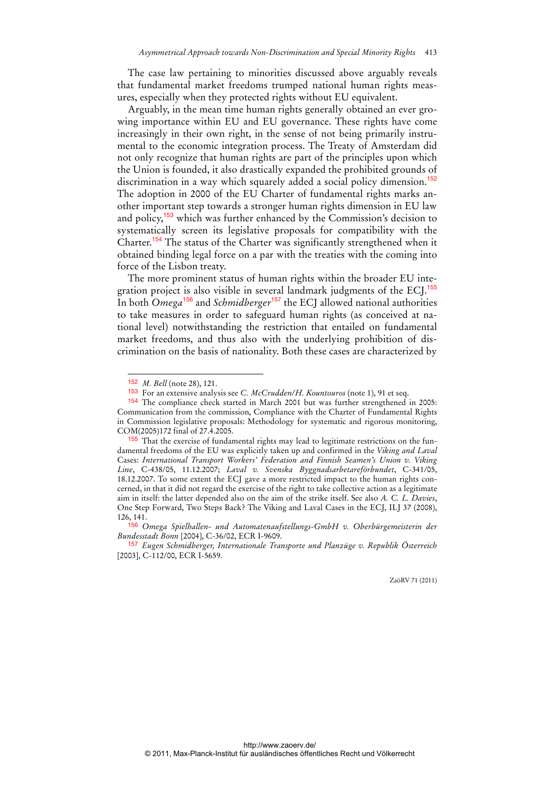The case law pertaining to minorities discussed above arguably reveals that fundamental market freedoms trumped national human rights measures, especially when they protected rights without EU equivalent.

Arguably, in the mean time human rights generally obtained an ever growing importance within EU and EU governance. These rights have come increasingly in their own right, in the sense of not being primarily instrumental to the economic integration process. The Treaty of Amsterdam did not only recognize that human rights are part of the principles upon which the Union is founded, it also drastically expanded the prohibited grounds of discrimination in a way which squarely added a social policy dimension.<sup>152</sup> The adoption in 2000 of the EU Charter of fundamental rights marks another important step towards a stronger human rights dimension in EU law and policy, $153$  which was further enhanced by the Commission's decision to systematically screen its legislative proposals for compatibility with the Charter.<sup>154</sup> The status of the Charter was significantly strengthened when it obtained binding legal force on a par with the treaties with the coming into force of the Lisbon treaty.

The more prominent status of human rights within the broader EU integration project is also visible in several landmark judgments of the ECJ.<sup>155</sup> In both *Omega*<sup>156</sup> and *Schmidberger*<sup>157</sup> the ECJ allowed national authorities to take measures in order to safeguard human rights (as conceived at national level) notwithstanding the restriction that entailed on fundamental market freedoms, and thus also with the underlying prohibition of discrimination on the basis of nationality. Both these cases are characterized by

 $\overline{a}$ 

<sup>152</sup> *M. Bell* (note 28), 121.

<sup>153</sup> For an extensive analysis see *C. McCrudden/H. Kountouros* (note 1), 91 et seq.

<sup>154</sup> The compliance check started in March 2001 but was further strengthened in 2005: Communication from the commission, Compliance with the Charter of Fundamental Rights in Commission legislative proposals: Methodology for systematic and rigorous monitoring, COM(2005)172 final of 27.4.2005.

<sup>155</sup> That the exercise of fundamental rights may lead to legitimate restrictions on the fundamental freedoms of the EU was explicitly taken up and confirmed in the *Viking and Laval* Cases: *International Transport Workers' Federation and Finnish Seamen's Union v. Viking Line*, C-438/05, 11.12.2007; *Laval v. Svenska Byggnadsarbetareförbundet*, C-341/05, 18.12.2007. To some extent the ECJ gave a more restricted impact to the human rights concerned, in that it did not regard the exercise of the right to take collective action as a legitimate aim in itself: the latter depended also on the aim of the strike itself. See also *A. C. L. Davies*, One Step Forward, Two Steps Back? The Viking and Laval Cases in the ECJ, ILJ 37 (2008), 126, 141.

<sup>156</sup> *Omega Spielhallen- und Automatenaufstellungs-GmbH v. Oberbürgemeisterin der Bundesstadt Bonn* [2004], C-36/02, ECR I-9609.

<sup>157</sup> *Eugen Schmidberger, Internationale Transporte und Planzüge v. Republik Österreich* [2003], C-112/00, ECR I-5659.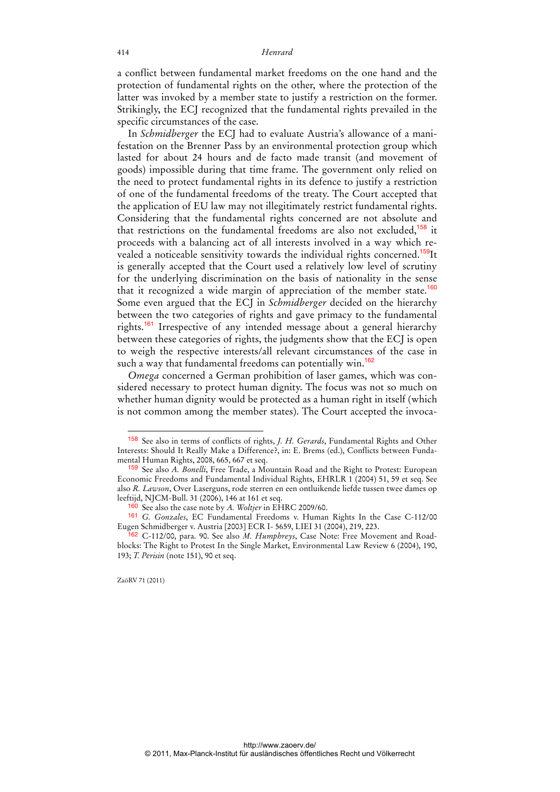a conflict between fundamental market freedoms on the one hand and the protection of fundamental rights on the other, where the protection of the latter was invoked by a member state to justify a restriction on the former. Strikingly, the ECJ recognized that the fundamental rights prevailed in the specific circumstances of the case.

In *Schmidberger* the ECJ had to evaluate Austria's allowance of a manifestation on the Brenner Pass by an environmental protection group which lasted for about 24 hours and de facto made transit (and movement of goods) impossible during that time frame. The government only relied on the need to protect fundamental rights in its defence to justify a restriction of one of the fundamental freedoms of the treaty. The Court accepted that the application of EU law may not illegitimately restrict fundamental rights. Considering that the fundamental rights concerned are not absolute and that restrictions on the fundamental freedoms are also not excluded,<sup>158</sup> it proceeds with a balancing act of all interests involved in a way which revealed a noticeable sensitivity towards the individual rights concerned.<sup>159</sup>It is generally accepted that the Court used a relatively low level of scrutiny for the underlying discrimination on the basis of nationality in the sense that it recognized a wide margin of appreciation of the member state.<sup>160</sup> Some even argued that the ECJ in *Schmidberger* decided on the hierarchy between the two categories of rights and gave primacy to the fundamental rights.<sup>161</sup> Irrespective of any intended message about a general hierarchy between these categories of rights, the judgments show that the ECJ is open to weigh the respective interests/all relevant circumstances of the case in such a way that fundamental freedoms can potentially win.<sup>162</sup>

*Omega* concerned a German prohibition of laser games, which was considered necessary to protect human dignity. The focus was not so much on whether human dignity would be protected as a human right in itself (which is not common among the member states). The Court accepted the invoca-

ZaöRV 71 (2011)

<sup>158</sup> See also in terms of conflicts of rights, *J. H. Gerards*, Fundamental Rights and Other Interests: Should It Really Make a Difference?, in: E. Brems (ed.), Conflicts between Fundamental Human Rights, 2008, 665, 667 et seq.

<sup>159</sup> See also *A. Bonelli*, Free Trade, a Mountain Road and the Right to Protest: European Economic Freedoms and Fundamental Individual Rights, EHRLR 1 (2004) 51, 59 et seq. See also *R. Lawson*, Over Laserguns, rode sterren en een ontluikende liefde tussen twee dames op leeftijd, NJCM-Bull. 31 (2006), 146 at 161 et seq.

<sup>160</sup> See also the case note by *A. Woltjer* in EHRC 2009/60.

<sup>161</sup> *G. Gonzales*, EC Fundamental Freedoms v. Human Rights In the Case C-112/00 Eugen Schmidberger v. Austria [2003] ECR I- 5659, LIEI 31 (2004), 219, 223.

<sup>162</sup> C-112/00, para. 90. See also *M. Humphreys*, Case Note: Free Movement and Roadblocks: The Right to Protest In the Single Market, Environmental Law Review 6 (2004), 190, 193; *T. Perisin* (note 151), 90 et seq.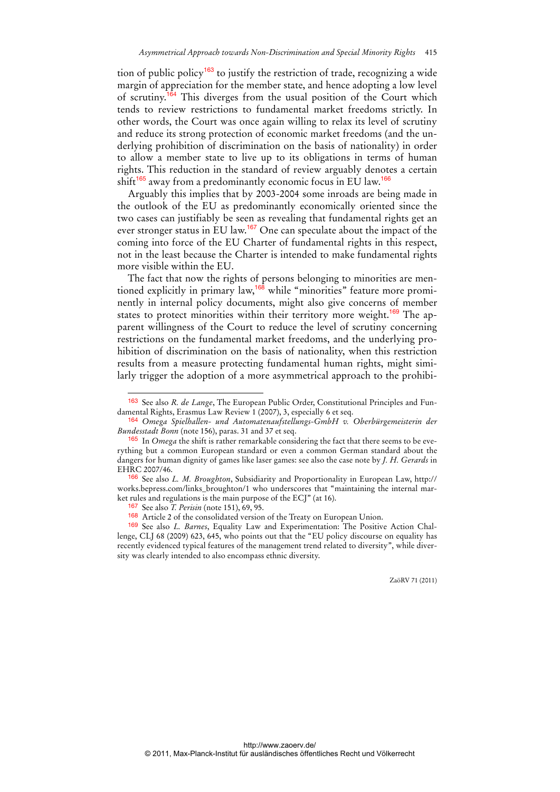tion of public policy<sup>163</sup> to justify the restriction of trade, recognizing a wide margin of appreciation for the member state, and hence adopting a low level of scrutiny.<sup>164</sup> This diverges from the usual position of the Court which tends to review restrictions to fundamental market freedoms strictly. In other words, the Court was once again willing to relax its level of scrutiny and reduce its strong protection of economic market freedoms (and the underlying prohibition of discrimination on the basis of nationality) in order to allow a member state to live up to its obligations in terms of human rights. This reduction in the standard of review arguably denotes a certain shift<sup>165</sup> away from a predominantly economic focus in EU law.<sup>166</sup>

Arguably this implies that by 2003-2004 some inroads are being made in the outlook of the EU as predominantly economically oriented since the two cases can justifiably be seen as revealing that fundamental rights get an ever stronger status in EU law.<sup>167</sup> One can speculate about the impact of the coming into force of the EU Charter of fundamental rights in this respect, not in the least because the Charter is intended to make fundamental rights more visible within the EU.

The fact that now the rights of persons belonging to minorities are mentioned explicitly in primary law,<sup>168</sup> while "minorities" feature more prominently in internal policy documents, might also give concerns of member states to protect minorities within their territory more weight.<sup>169</sup> The apparent willingness of the Court to reduce the level of scrutiny concerning restrictions on the fundamental market freedoms, and the underlying prohibition of discrimination on the basis of nationality, when this restriction results from a measure protecting fundamental human rights, might similarly trigger the adoption of a more asymmetrical approach to the prohibi-

 $\overline{a}$ 

<sup>163</sup> See also *R. de Lange*, The European Public Order, Constitutional Principles and Fundamental Rights, Erasmus Law Review 1 (2007), 3, especially 6 et seq.

<sup>164</sup> *Omega Spielhallen- und Automatenaufstellungs-GmbH v. Oberbürgemeisterin der Bundesstadt Bonn* (note 156), paras. 31 and 37 et seq.

<sup>165</sup> In *Omega* the shift is rather remarkable considering the fact that there seems to be everything but a common European standard or even a common German standard about the dangers for human dignity of games like laser games: see also the case note by *J. H. Gerards* in EHRC 2007/46.

<sup>166</sup> See also *L. M. Broughton*, Subsidiarity and Proportionality in European Law, http:// works.bepress.com/links\_broughton/1 who underscores that "maintaining the internal market rules and regulations is the main purpose of the ECJ" (at 16).

<sup>167</sup> See also *T. Perisin* (note 151), 69, 95.

<sup>168</sup> Article 2 of the consolidated version of the Treaty on European Union.

<sup>169</sup> See also *L. Barnes*, Equality Law and Experimentation: The Positive Action Challenge, CLJ 68 (2009) 623, 645, who points out that the "EU policy discourse on equality has recently evidenced typical features of the management trend related to diversity", while diversity was clearly intended to also encompass ethnic diversity.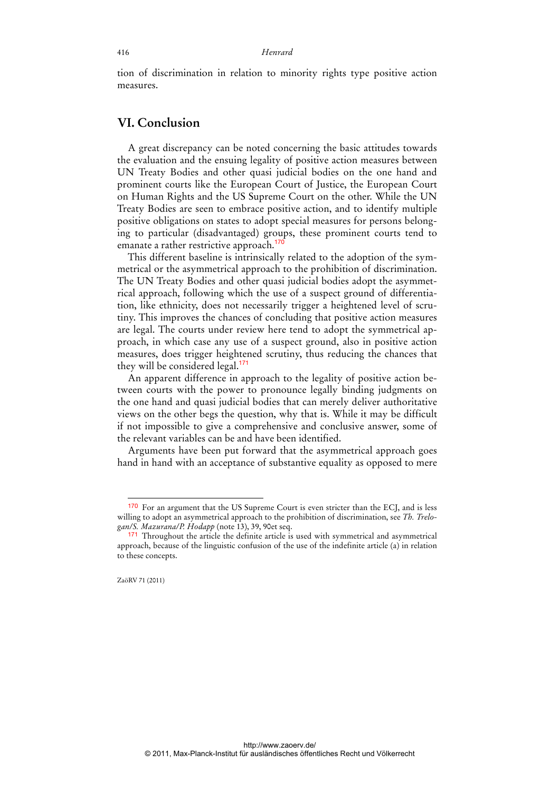tion of discrimination in relation to minority rights type positive action measures.

### **VI. Conclusion**

A great discrepancy can be noted concerning the basic attitudes towards the evaluation and the ensuing legality of positive action measures between UN Treaty Bodies and other quasi judicial bodies on the one hand and prominent courts like the European Court of Justice, the European Court on Human Rights and the US Supreme Court on the other. While the UN Treaty Bodies are seen to embrace positive action, and to identify multiple positive obligations on states to adopt special measures for persons belonging to particular (disadvantaged) groups, these prominent courts tend to emanate a rather restrictive approach.<sup>170</sup>

This different baseline is intrinsically related to the adoption of the symmetrical or the asymmetrical approach to the prohibition of discrimination. The UN Treaty Bodies and other quasi judicial bodies adopt the asymmetrical approach, following which the use of a suspect ground of differentiation, like ethnicity, does not necessarily trigger a heightened level of scrutiny. This improves the chances of concluding that positive action measures are legal. The courts under review here tend to adopt the symmetrical approach, in which case any use of a suspect ground, also in positive action measures, does trigger heightened scrutiny, thus reducing the chances that they will be considered legal.<sup>171</sup>

An apparent difference in approach to the legality of positive action between courts with the power to pronounce legally binding judgments on the one hand and quasi judicial bodies that can merely deliver authoritative views on the other begs the question, why that is. While it may be difficult if not impossible to give a comprehensive and conclusive answer, some of the relevant variables can be and have been identified.

Arguments have been put forward that the asymmetrical approach goes hand in hand with an acceptance of substantive equality as opposed to mere

 $\ddot{ }$ 

<sup>170</sup> For an argument that the US Supreme Court is even stricter than the ECJ, and is less willing to adopt an asymmetrical approach to the prohibition of discrimination, see *Th. Trelogan/S. Mazurana/P. Hodapp* (note 13), 39, 90et seq.

<sup>171</sup> Throughout the article the definite article is used with symmetrical and asymmetrical approach, because of the linguistic confusion of the use of the indefinite article (a) in relation to these concepts.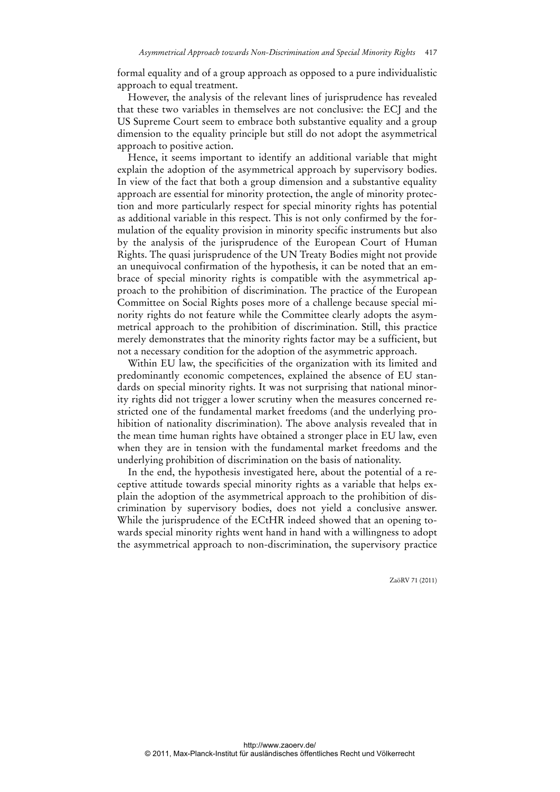formal equality and of a group approach as opposed to a pure individualistic approach to equal treatment.

However, the analysis of the relevant lines of jurisprudence has revealed that these two variables in themselves are not conclusive: the ECJ and the US Supreme Court seem to embrace both substantive equality and a group dimension to the equality principle but still do not adopt the asymmetrical approach to positive action.

Hence, it seems important to identify an additional variable that might explain the adoption of the asymmetrical approach by supervisory bodies. In view of the fact that both a group dimension and a substantive equality approach are essential for minority protection, the angle of minority protection and more particularly respect for special minority rights has potential as additional variable in this respect. This is not only confirmed by the formulation of the equality provision in minority specific instruments but also by the analysis of the jurisprudence of the European Court of Human Rights. The quasi jurisprudence of the UN Treaty Bodies might not provide an unequivocal confirmation of the hypothesis, it can be noted that an embrace of special minority rights is compatible with the asymmetrical approach to the prohibition of discrimination. The practice of the European Committee on Social Rights poses more of a challenge because special minority rights do not feature while the Committee clearly adopts the asymmetrical approach to the prohibition of discrimination. Still, this practice merely demonstrates that the minority rights factor may be a sufficient, but not a necessary condition for the adoption of the asymmetric approach.

Within EU law, the specificities of the organization with its limited and predominantly economic competences, explained the absence of EU standards on special minority rights. It was not surprising that national minority rights did not trigger a lower scrutiny when the measures concerned restricted one of the fundamental market freedoms (and the underlying prohibition of nationality discrimination). The above analysis revealed that in the mean time human rights have obtained a stronger place in EU law, even when they are in tension with the fundamental market freedoms and the underlying prohibition of discrimination on the basis of nationality.

In the end, the hypothesis investigated here, about the potential of a receptive attitude towards special minority rights as a variable that helps explain the adoption of the asymmetrical approach to the prohibition of discrimination by supervisory bodies, does not yield a conclusive answer. While the jurisprudence of the ECtHR indeed showed that an opening towards special minority rights went hand in hand with a willingness to adopt the asymmetrical approach to non-discrimination, the supervisory practice